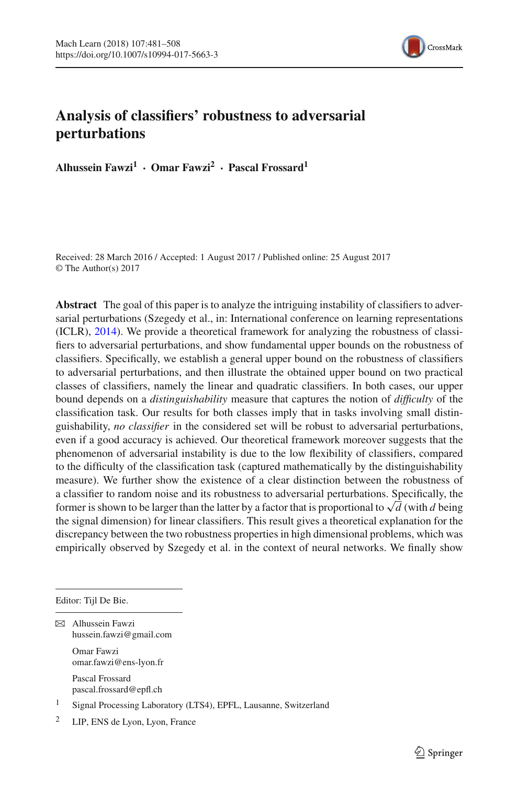

## **Analysis of classifiers' robustness to adversarial perturbations**

**Alhussein Fawzi<sup>1</sup> · Omar Fawzi2 · Pascal Frossard<sup>1</sup>**

Received: 28 March 2016 / Accepted: 1 August 2017 / Published online: 25 August 2017 © The Author(s) 2017

**Abstract** The goal of this paper is to analyze the intriguing instability of classifiers to adversarial perturbations (Szegedy et al., in: International conference on learning representations (ICLR), [2014\)](#page-27-0). We provide a theoretical framework for analyzing the robustness of classifiers to adversarial perturbations, and show fundamental upper bounds on the robustness of classifiers. Specifically, we establish a general upper bound on the robustness of classifiers to adversarial perturbations, and then illustrate the obtained upper bound on two practical classes of classifiers, namely the linear and quadratic classifiers. In both cases, our upper bound depends on a *distinguishability* measure that captures the notion of *difficulty* of the classification task. Our results for both classes imply that in tasks involving small distinguishability, *no classifier* in the considered set will be robust to adversarial perturbations, even if a good accuracy is achieved. Our theoretical framework moreover suggests that the phenomenon of adversarial instability is due to the low flexibility of classifiers, compared to the difficulty of the classification task (captured mathematically by the distinguishability measure). We further show the existence of a clear distinction between the robustness of a classifier to random noise and its robustness to adversarial perturbations. Specifically, the former is shown to be larger than the latter by a factor that is proportional to  $\sqrt{d}$  (with *d* being the signal dimension) for linear classifiers. This result gives a theoretical explanation for the discrepancy between the two robustness properties in high dimensional problems, which was empirically observed by Szegedy et al. in the context of neural networks. We finally show

Editor: Tijl De Bie.

 $\boxtimes$  Alhussein Fawzi hussein.fawzi@gmail.com

> Omar Fawzi omar.fawzi@ens-lyon.fr

Pascal Frossard pascal.frossard@epfl.ch

<sup>1</sup> Signal Processing Laboratory (LTS4), EPFL, Lausanne, Switzerland

<sup>2</sup> LIP, ENS de Lyon, Lyon, France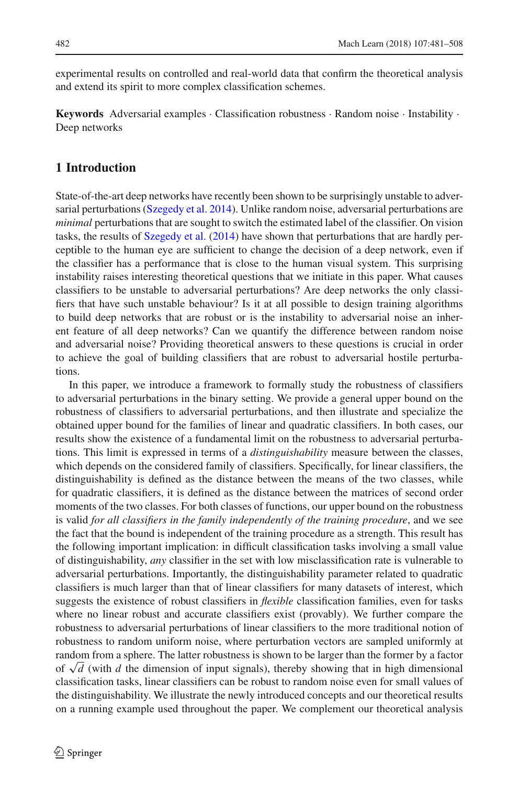experimental results on controlled and real-world data that confirm the theoretical analysis and extend its spirit to more complex classification schemes.

**Keywords** Adversarial examples · Classification robustness · Random noise · Instability · Deep networks

## **1 Introduction**

State-of-the-art deep networks have recently been shown to be surprisingly unstable to adversarial perturbations [\(Szegedy et al. 2014\)](#page-27-0). Unlike random noise, adversarial perturbations are *minimal* perturbations that are sought to switch the estimated label of the classifier. On vision tasks, the results of [Szegedy et al.](#page-27-0) [\(2014\)](#page-27-0) have shown that perturbations that are hardly perceptible to the human eye are sufficient to change the decision of a deep network, even if the classifier has a performance that is close to the human visual system. This surprising instability raises interesting theoretical questions that we initiate in this paper. What causes classifiers to be unstable to adversarial perturbations? Are deep networks the only classifiers that have such unstable behaviour? Is it at all possible to design training algorithms to build deep networks that are robust or is the instability to adversarial noise an inherent feature of all deep networks? Can we quantify the difference between random noise and adversarial noise? Providing theoretical answers to these questions is crucial in order to achieve the goal of building classifiers that are robust to adversarial hostile perturbations.

In this paper, we introduce a framework to formally study the robustness of classifiers to adversarial perturbations in the binary setting. We provide a general upper bound on the robustness of classifiers to adversarial perturbations, and then illustrate and specialize the obtained upper bound for the families of linear and quadratic classifiers. In both cases, our results show the existence of a fundamental limit on the robustness to adversarial perturbations. This limit is expressed in terms of a *distinguishability* measure between the classes, which depends on the considered family of classifiers. Specifically, for linear classifiers, the distinguishability is defined as the distance between the means of the two classes, while for quadratic classifiers, it is defined as the distance between the matrices of second order moments of the two classes. For both classes of functions, our upper bound on the robustness is valid *for all classifiers in the family independently of the training procedure*, and we see the fact that the bound is independent of the training procedure as a strength. This result has the following important implication: in difficult classification tasks involving a small value of distinguishability, *any* classifier in the set with low misclassification rate is vulnerable to adversarial perturbations. Importantly, the distinguishability parameter related to quadratic classifiers is much larger than that of linear classifiers for many datasets of interest, which suggests the existence of robust classifiers in *flexible* classification families, even for tasks where no linear robust and accurate classifiers exist (provably). We further compare the robustness to adversarial perturbations of linear classifiers to the more traditional notion of robustness to random uniform noise, where perturbation vectors are sampled uniformly at random from a sphere. The latter robustness is shown to be larger than the former by a factor of <sup>√</sup>*<sup>d</sup>* (with *<sup>d</sup>* the dimension of input signals), thereby showing that in high dimensional classification tasks, linear classifiers can be robust to random noise even for small values of the distinguishability. We illustrate the newly introduced concepts and our theoretical results on a running example used throughout the paper. We complement our theoretical analysis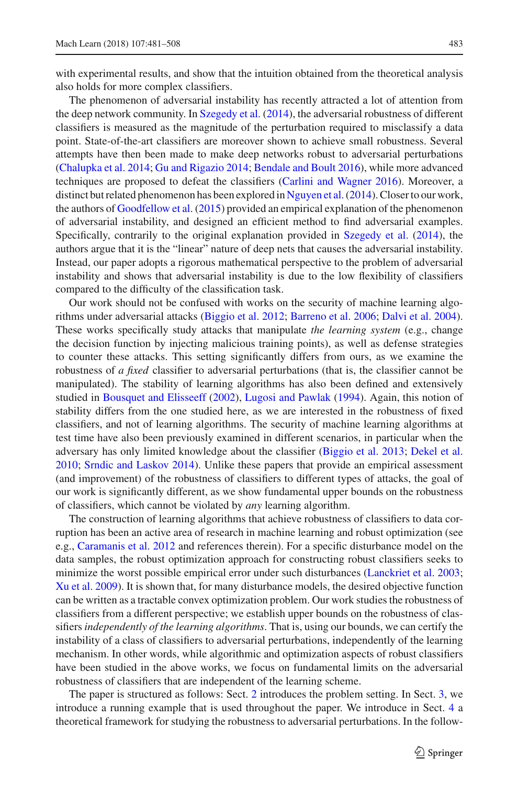with experimental results, and show that the intuition obtained from the theoretical analysis also holds for more complex classifiers.

The phenomenon of adversarial instability has recently attracted a lot of attention from the deep network community. In [Szegedy et al.](#page-27-0) [\(2014](#page-27-0)), the adversarial robustness of different classifiers is measured as the magnitude of the perturbation required to misclassify a data point. State-of-the-art classifiers are moreover shown to achieve small robustness. Several attempts have then been made to make deep networks robust to adversarial perturbations [\(Chalupka et al. 2014](#page-26-0); [Gu and Rigazio 2014](#page-27-1); [Bendale and Boult 2016\)](#page-26-1), while more advanced techniques are proposed to defeat the classifiers [\(Carlini and Wagner 2016\)](#page-26-2). Moreover, a distinct but related phenomenon has been explored in [Nguyen et al.\(2014\)](#page-27-2). Closer to our work, the authors of [Goodfellow et al.](#page-27-3) [\(2015\)](#page-27-3) provided an empirical explanation of the phenomenon of adversarial instability, and designed an efficient method to find adversarial examples. Specifically, contrarily to the original explanation provided in [Szegedy et al.](#page-27-0) [\(2014](#page-27-0)), the authors argue that it is the "linear" nature of deep nets that causes the adversarial instability. Instead, our paper adopts a rigorous mathematical perspective to the problem of adversarial instability and shows that adversarial instability is due to the low flexibility of classifiers compared to the difficulty of the classification task.

Our work should not be confused with works on the security of machine learning algorithms under adversarial attacks [\(Biggio et al. 2012](#page-26-3); [Barreno et al. 2006](#page-26-4); [Dalvi et al. 2004\)](#page-26-5). These works specifically study attacks that manipulate *the learning system* (e.g., change the decision function by injecting malicious training points), as well as defense strategies to counter these attacks. This setting significantly differs from ours, as we examine the robustness of *a fixed* classifier to adversarial perturbations (that is, the classifier cannot be manipulated). The stability of learning algorithms has also been defined and extensively studied in [Bousquet and Elisseeff](#page-26-6) [\(2002\)](#page-26-6), [Lugosi and Pawlak](#page-27-4) [\(1994\)](#page-27-4). Again, this notion of stability differs from the one studied here, as we are interested in the robustness of fixed classifiers, and not of learning algorithms. The security of machine learning algorithms at test time have also been previously examined in different scenarios, in particular when the adversary has only limited knowledge about the classifier [\(Biggio et al. 2013](#page-26-7); [Dekel et al.](#page-26-8) [2010](#page-26-8); [Srndic and Laskov 2014](#page-27-5)). Unlike these papers that provide an empirical assessment (and improvement) of the robustness of classifiers to different types of attacks, the goal of our work is significantly different, as we show fundamental upper bounds on the robustness of classifiers, which cannot be violated by *any* learning algorithm.

The construction of learning algorithms that achieve robustness of classifiers to data corruption has been an active area of research in machine learning and robust optimization (see e.g., [Caramanis et al. 2012](#page-26-9) and references therein). For a specific disturbance model on the data samples, the robust optimization approach for constructing robust classifiers seeks to minimize the worst possible empirical error under such disturbances [\(Lanckriet et al. 2003](#page-27-6); [Xu et al. 2009\)](#page-27-7). It is shown that, for many disturbance models, the desired objective function can be written as a tractable convex optimization problem. Our work studies the robustness of classifiers from a different perspective; we establish upper bounds on the robustness of classifiers *independently of the learning algorithms*. That is, using our bounds, we can certify the instability of a class of classifiers to adversarial perturbations, independently of the learning mechanism. In other words, while algorithmic and optimization aspects of robust classifiers have been studied in the above works, we focus on fundamental limits on the adversarial robustness of classifiers that are independent of the learning scheme.

The paper is structured as follows: Sect. [2](#page-3-0) introduces the problem setting. In Sect. [3,](#page-5-0) we introduce a running example that is used throughout the paper. We introduce in Sect. [4](#page-7-0) a theoretical framework for studying the robustness to adversarial perturbations. In the follow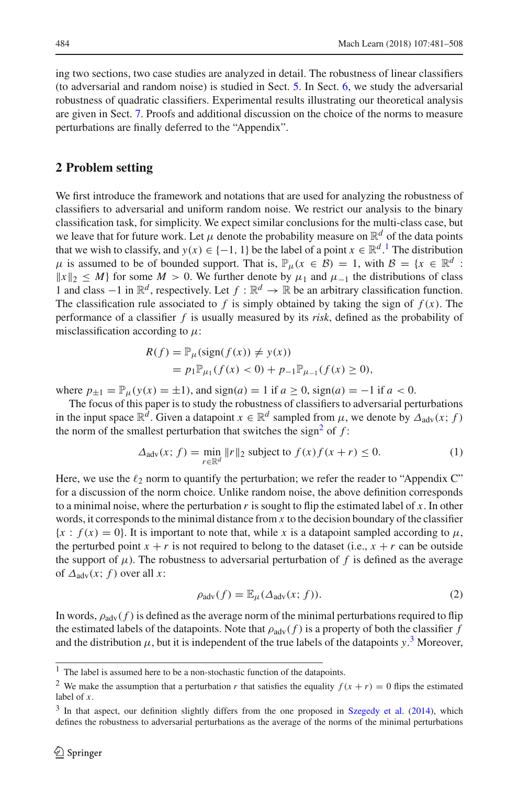ing two sections, two case studies are analyzed in detail. The robustness of linear classifiers (to adversarial and random noise) is studied in Sect. [5.](#page-8-0) In Sect. [6,](#page-11-0) we study the adversarial robustness of quadratic classifiers. Experimental results illustrating our theoretical analysis are given in Sect. [7.](#page-13-0) Proofs and additional discussion on the choice of the norms to measure perturbations are finally deferred to the "Appendix".

## <span id="page-3-0"></span>**2 Problem setting**

We first introduce the framework and notations that are used for analyzing the robustness of classifiers to adversarial and uniform random noise. We restrict our analysis to the binary classification task, for simplicity. We expect similar conclusions for the multi-class case, but we leave that for future work. Let  $\mu$  denote the probability measure on  $\mathbb{R}^d$  of the data points that we wish to classify, and  $y(x) \in \{-1, 1\}$  $y(x) \in \{-1, 1\}$  $y(x) \in \{-1, 1\}$  be the label of a point  $x \in \mathbb{R}^d$ . The distribution  $\mu$  is assumed to be of bounded support. That is,  $\mathbb{P}_{\mu}(x \in \mathcal{B}) = 1$ , with  $\mathcal{B} = \{x \in \mathbb{R}^d :$  $||x||_2 \leq M$ } for some *M* > 0. We further denote by  $\mu_1$  and  $\mu_{-1}$  the distributions of class 1 and class  $-1$  in  $\mathbb{R}^d$ , respectively. Let *f* :  $\mathbb{R}^d$  →  $\mathbb{R}$  be an arbitrary classification function. The classification rule associated to  $f$  is simply obtained by taking the sign of  $f(x)$ . The performance of a classifier *f* is usually measured by its *risk*, defined as the probability of misclassification according to  $\mu$ :

$$
R(f) = \mathbb{P}_{\mu}(\text{sign}(f(x)) \neq y(x))
$$
  
=  $p_1 \mathbb{P}_{\mu_1}(f(x) < 0) + p_{-1} \mathbb{P}_{\mu_{-1}}(f(x) \ge 0),$ 

where  $p_{\pm 1} = \mathbb{P}_{\mu}(y(x) = \pm 1)$ , and  $sign(a) = 1$  if  $a \ge 0$ ,  $sign(a) = -1$  if  $a < 0$ .

The focus of this paper is to study the robustness of classifiers to adversarial perturbations in the input space  $\mathbb{R}^d$ . Given a datapoint  $x \in \mathbb{R}^d$  sampled from  $\mu$ , we denote by  $\Delta_{\text{adv}}(x; f)$ the norm of the smallest perturbation that switches the sign<sup>2</sup> of  $f$ :

$$
\Delta_{\text{adv}}(x; f) = \min_{r \in \mathbb{R}^d} \|r\|_2 \text{ subject to } f(x)f(x+r) \le 0. \tag{1}
$$

Here, we use the  $\ell_2$  norm to quantify the perturbation; we refer the reader to "Appendix C" for a discussion of the norm choice. Unlike random noise, the above definition corresponds to a minimal noise, where the perturbation *r* is sought to flip the estimated label of *x*. In other words, it corresponds to the minimal distance from *x* to the decision boundary of the classifier  ${x : f(x) = 0}$ . It is important to note that, while *x* is a datapoint sampled according to  $\mu$ , the perturbed point  $x + r$  is not required to belong to the dataset (i.e.,  $x + r$  can be outside the support of  $\mu$ ). The robustness to adversarial perturbation of f is defined as the average of  $\Delta_{\text{adv}}(x; f)$  over all x:

$$
\rho_{\text{adv}}(f) = \mathbb{E}_{\mu}(\Delta_{\text{adv}}(x; f)). \tag{2}
$$

In words,  $\rho_{\text{adv}}(f)$  is defined as the average norm of the minimal perturbations required to flip the estimated labels of the datapoints. Note that  $\rho_{adv}(f)$  is a property of both the classifier f and the distribution  $\mu$ , but it is independent of the true labels of the datapoints  $y$ .<sup>[3](#page-3-3)</sup> Moreover,

 $1$  The label is assumed here to be a non-stochastic function of the datapoints.

<span id="page-3-2"></span><span id="page-3-1"></span><sup>&</sup>lt;sup>2</sup> We make the assumption that a perturbation *r* that satisfies the equality  $f(x + r) = 0$  flips the estimated label of *x*.

<span id="page-3-3"></span><sup>&</sup>lt;sup>3</sup> In that aspect, our definition slightly differs from the one proposed in [Szegedy et al.](#page-27-0) [\(2014](#page-27-0)), which defines the robustness to adversarial perturbations as the average of the norms of the minimal perturbations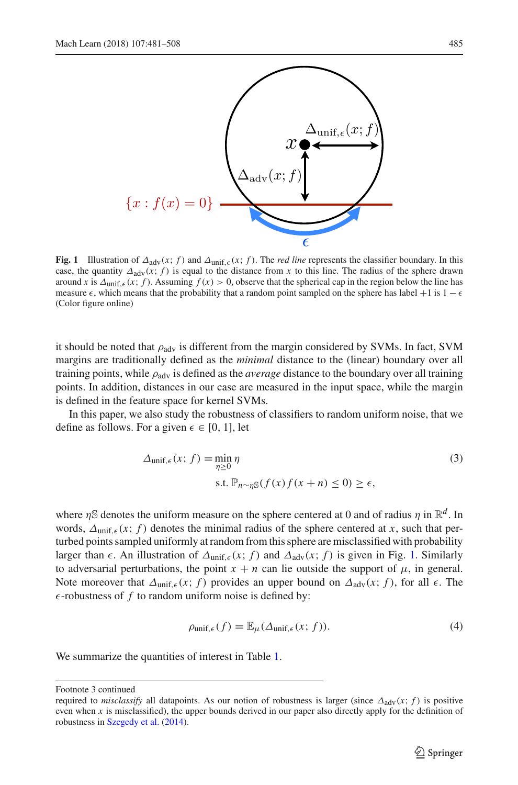

<span id="page-4-0"></span>**Fig. 1** Illustration of  $\Delta_{\text{adv}}(x; f)$  and  $\Delta_{\text{unif. } \epsilon}(x; f)$ . The *red line* represents the classifier boundary. In this case, the quantity  $\Delta_{adv}(x; f)$  is equal to the distance from x to this line. The radius of the sphere drawn around *x* is  $\Delta_{\text{unif } \epsilon}(x; f)$ . Assuming  $f(x) > 0$ , observe that the spherical cap in the region below the line has measure  $\epsilon$ , which means that the probability that a random point sampled on the sphere has label +1 is 1 −  $\epsilon$ (Color figure online)

it should be noted that  $\rho_{\text{adv}}$  is different from the margin considered by SVMs. In fact, SVM margins are traditionally defined as the *minimal* distance to the (linear) boundary over all training points, while  $\rho_{\text{adv}}$  is defined as the *average* distance to the boundary over all training points. In addition, distances in our case are measured in the input space, while the margin is defined in the feature space for kernel SVMs.

In this paper, we also study the robustness of classifiers to random uniform noise, that we define as follows. For a given  $\epsilon \in [0, 1]$ , let

$$
\Delta_{\text{unif},\epsilon}(x; f) = \min_{\eta \ge 0} \eta \tag{3}
$$
  
s.t.  $\mathbb{P}_{n \sim \eta \mathbb{S}}(f(x)f(x+n) \le 0) \ge \epsilon$ ,

where  $\eta$ S denotes the uniform measure on the sphere centered at 0 and of radius  $\eta$  in  $\mathbb{R}^d$ . In words,  $\Delta_{\text{unif } \epsilon}(x; f)$  denotes the minimal radius of the sphere centered at x, such that perturbed points sampled uniformly at random from this sphere are misclassified with probability larger than  $\epsilon$ . An illustration of  $\Delta_{\text{unif. }\epsilon}(x; f)$  and  $\Delta_{\text{adv}}(x; f)$  is given in Fig. [1.](#page-4-0) Similarly to adversarial perturbations, the point  $x + n$  can lie outside the support of  $\mu$ , in general. Note moreover that  $\Delta_{\text{unif}, \epsilon}(x; f)$  provides an upper bound on  $\Delta_{\text{adv}}(x; f)$ , for all  $\epsilon$ . The  $\epsilon$ -robustness of f to random uniform noise is defined by:

$$
\rho_{\text{unif},\epsilon}(f) = \mathbb{E}_{\mu}(\Delta_{\text{unif},\epsilon}(x; f)). \tag{4}
$$

We summarize the quantities of interest in Table [1.](#page-5-1)

Footnote 3 continued

required to *misclassify* all datapoints. As our notion of robustness is larger (since  $\Delta_{\text{adv}}(x; f)$  is positive even when *x* is misclassified), the upper bounds derived in our paper also directly apply for the definition of robustness in [Szegedy et al.](#page-27-0) [\(2014\)](#page-27-0).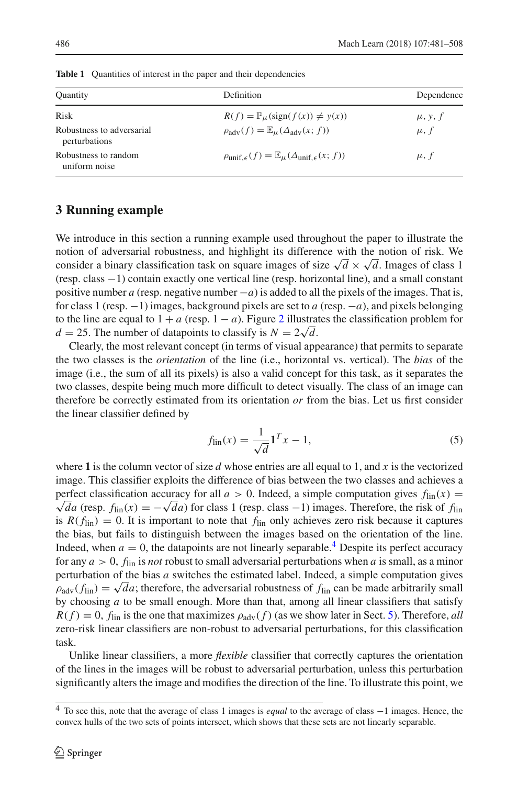<span id="page-5-1"></span>

| <b>Quantity</b>                            | Definition                                                                               | Dependence           |
|--------------------------------------------|------------------------------------------------------------------------------------------|----------------------|
|                                            |                                                                                          |                      |
| <b>Risk</b>                                | $R(f) = \mathbb{P}_{\mu}(\text{sign}(f(x)) \neq y(x))$                                   | $\mu$ , y, f         |
| Robustness to adversarial<br>perturbations | $\rho_{\text{adv}}(f) = \mathbb{E}_{\mu}(\Delta_{\text{adv}}(x; f))$                     | $\mu$ , $f$          |
| Robustness to random<br>uniform noise      | $\rho_{\text{unif.}\epsilon}(f) = \mathbb{E}_{\mu}(\Delta_{\text{unif.}\epsilon}(x; f))$ | $\mu$ , $\dot{\tau}$ |

**Table 1** Quantities of interest in the paper and their dependencies

## <span id="page-5-0"></span>**3 Running example**

We introduce in this section a running example used throughout the paper to illustrate the notion of adversarial robustness, and highlight its difference with the notion of risk. We consider a binary classification task on square images of size  $\sqrt{d} \times \sqrt{d}$ . Images of class 1 (resp. class −1) contain exactly one vertical line (resp. horizontal line), and a small constant positive number *a* (resp. negative number −*a*) is added to all the pixels of the images. That is, for class 1 (resp. −1) images, background pixels are set to *a* (resp. −*a*), and pixels belonging to the line are equal to  $1 + a$  (resp.  $1 - a$ ). Figure [2](#page-6-0) illustrates the classification problem for  $d = 25$ . The number of datapoints to classify is  $N = 2\sqrt{d}$ .

Clearly, the most relevant concept (in terms of visual appearance) that permits to separate the two classes is the *orientation* of the line (i.e., horizontal vs. vertical). The *bias* of the image (i.e., the sum of all its pixels) is also a valid concept for this task, as it separates the two classes, despite being much more difficult to detect visually. The class of an image can therefore be correctly estimated from its orientation *or* from the bias. Let us first consider the linear classifier defined by

<span id="page-5-3"></span>
$$
f_{\rm lin}(x) = \frac{1}{\sqrt{d}} \mathbf{1}^T x - 1,\tag{5}
$$

where **1** is the column vector of size *d* whose entries are all equal to 1, and *x* is the vectorized image. This classifier exploits the difference of bias between the two classes and achieves a perfect classification accuracy for all  $a > 0$ . Indeed, a simple computation gives  $f_{\text{lin}}(x) =$  $\sqrt{d}a$  (resp. *f*<sub>lin</sub>(*x*) = − $\sqrt{d}a$ ) for class 1 (resp. class −1) images. Therefore, the risk of *f*<sub>lin</sub>(*x*) is  $R(f_{lin}) = 0$ . It is important to note that  $f_{lin}$  only achieves zero risk because it captures the bias, but fails to distinguish between the images based on the orientation of the line. Indeed, when  $a = 0$ , the datapoints are not linearly separable.<sup>4</sup> Despite its perfect accuracy for any *a* > 0, *f*lin is *not* robust to small adversarial perturbations when *a* is small, as a minor perturbation of the bias *a* switches the estimated label. Indeed, a simple computation gives  $\rho_{\text{adv}}(f_{\text{lin}}) = \sqrt{da}$ ; therefore, the adversarial robustness of  $f_{\text{lin}}$  can be made arbitrarily small by choosing *a* to be small enough. More than that, among all linear classifiers that satisfy  $R(f) = 0$ ,  $f_{lin}$  is the one that maximizes  $\rho_{adv}(f)$  (as we show later in Sect. [5\)](#page-8-0). Therefore, *all* zero-risk linear classifiers are non-robust to adversarial perturbations, for this classification task.

Unlike linear classifiers, a more *flexible* classifier that correctly captures the orientation of the lines in the images will be robust to adversarial perturbation, unless this perturbation significantly alters the image and modifies the direction of the line. To illustrate this point, we

<span id="page-5-2"></span><sup>4</sup> To see this, note that the average of class 1 images is *equal* to the average of class <sup>−</sup>1 images. Hence, the convex hulls of the two sets of points intersect, which shows that these sets are not linearly separable.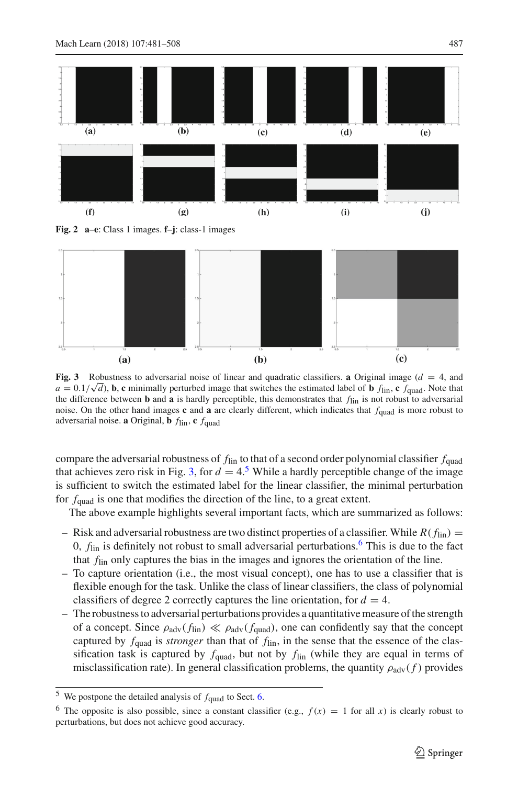

<span id="page-6-0"></span>**Fig. 2 a**–**e**: Class 1 images. **f**–**j**: class-1 images



<span id="page-6-1"></span>**Fig. 3** Robustness to adversarial noise of linear and quadratic classifiers. **a** Original image (*d* = 4, and *a* =  $0.1/\sqrt{d}$ , **b**, **c** minimally perturbed image that switches the estimated label of **b** *f*<sub>lin</sub>, **c** *f*<sub>quad</sub>. Note that  $a = 0.1/\sqrt{d}$ , **b**, **c** minimally perturbed image that switches the estimated label of **b** the difference between **b** and **a** is hardly perceptible, this demonstrates that *f*lin is not robust to adversarial noise. On the other hand images  $c$  and  $a$  are clearly different, which indicates that  $f_{quad}$  is more robust to adversarial noise. **a** Original, **b**  $f_{lin}$ , **c**  $f_{quad}$ 

compare the adversarial robustness of *f*lin to that of a second order polynomial classifier *f*quad that achieves zero risk in Fig. [3,](#page-6-1) for  $d = 4.5$  $d = 4.5$  While a hardly perceptible change of the image is sufficient to switch the estimated label for the linear classifier, the minimal perturbation for  $f_{quad}$  is one that modifies the direction of the line, to a great extent.

The above example highlights several important facts, which are summarized as follows:

- Risk and adversarial robustness are two distinct properties of a classifier. While  $R(f_{lin}) =$ 0,  $f_{lin}$  is definitely not robust to small adversarial perturbations.<sup>6</sup> This is due to the fact that *f*lin only captures the bias in the images and ignores the orientation of the line.
- To capture orientation (i.e., the most visual concept), one has to use a classifier that is flexible enough for the task. Unlike the class of linear classifiers, the class of polynomial classifiers of degree 2 correctly captures the line orientation, for  $d = 4$ .
- The robustness to adversarial perturbations provides a quantitative measure of the strength of a concept. Since  $\rho_{\text{adv}}(f_{\text{lin}}) \ll \rho_{\text{adv}}(f_{\text{quad}})$ , one can confidently say that the concept captured by  $f_{quad}$  is *stronger* than that of  $f_{lin}$ , in the sense that the essence of the classification task is captured by  $f_{quad}$ , but not by  $f_{lin}$  (while they are equal in terms of misclassification rate). In general classification problems, the quantity  $\rho_{\text{adv}}(f)$  provides

 $5$  We postpone the detailed analysis of  $f_{quad}$  to Sect. [6.](#page-11-0)

<span id="page-6-3"></span><span id="page-6-2"></span><sup>&</sup>lt;sup>6</sup> The opposite is also possible, since a constant classifier (e.g.,  $f(x) = 1$  for all *x*) is clearly robust to perturbations, but does not achieve good accuracy.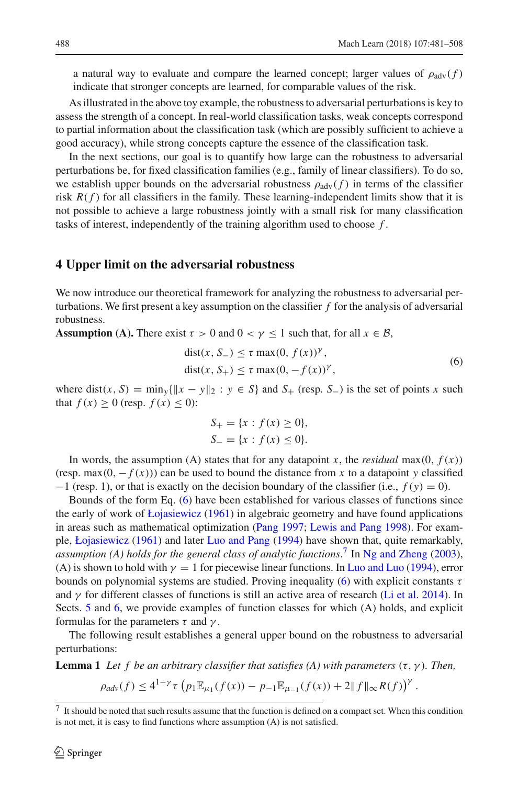a natural way to evaluate and compare the learned concept; larger values of  $\rho_{\text{adv}}(f)$ indicate that stronger concepts are learned, for comparable values of the risk.

As illustrated in the above toy example, the robustness to adversarial perturbations is key to assess the strength of a concept. In real-world classification tasks, weak concepts correspond to partial information about the classification task (which are possibly sufficient to achieve a good accuracy), while strong concepts capture the essence of the classification task.

In the next sections, our goal is to quantify how large can the robustness to adversarial perturbations be, for fixed classification families (e.g., family of linear classifiers). To do so, we establish upper bounds on the adversarial robustness  $\rho_{\text{adv}}(f)$  in terms of the classifier risk  $R(f)$  for all classifiers in the family. These learning-independent limits show that it is not possible to achieve a large robustness jointly with a small risk for many classification tasks of interest, independently of the training algorithm used to choose *f* .

#### <span id="page-7-0"></span>**4 Upper limit on the adversarial robustness**

We now introduce our theoretical framework for analyzing the robustness to adversarial perturbations. We first present a key assumption on the classifier *f* for the analysis of adversarial robustness.

**Assumption (A).** There exist  $\tau > 0$  and  $0 < \gamma \le 1$  such that, for all  $x \in B$ ,

<span id="page-7-1"></span>
$$
dist(x, S_{-}) \leq \tau \max(0, f(x))^{\gamma},
$$
  

$$
dist(x, S_{+}) \leq \tau \max(0, -f(x))^{\gamma},
$$
\n(6)

where dist(*x*, *S*) =  $\min_{y} {\|x - y\|_2 : y \in S}$  and *S*<sub>+</sub> (resp. *S*<sub>−</sub>) is the set of points *x* such that  $f(x) \ge 0$  (resp.  $f(x) \le 0$ ):

$$
S_{+} = \{x : f(x) \ge 0\},\
$$
  

$$
S_{-} = \{x : f(x) \le 0\}.
$$

In words, the assumption (A) states that for any datapoint *x*, the *residual* max $(0, f(x))$ (resp. max(0,  $-f(x)$ )) can be used to bound the distance from *x* to a datapoint *y* classified −1 (resp. 1), or that is exactly on the decision boundary of the classifier (i.e., *f* (*y*) = 0).

Bounds of the form Eq. [\(6\)](#page-7-1) have been established for various classes of functions since the early of work of [Łojasiewicz](#page-27-8) [\(1961](#page-27-8)) in algebraic geometry and have found applications in areas such as mathematical optimization [\(Pang 1997;](#page-27-9) [Lewis and Pang 1998\)](#page-27-10). For example, [Łojasiewicz](#page-27-8) [\(1961](#page-27-8)) and later [Luo and Pang](#page-27-11) [\(1994\)](#page-27-11) have shown that, quite remarkably, *assumption (A) holds for the general class of analytic functions*. [7](#page-7-2) In [Ng and Zheng](#page-27-12) [\(2003\)](#page-27-12), (A) is shown to hold with  $\gamma = 1$  for piecewise linear functions. In [Luo and Luo](#page-27-13) [\(1994](#page-27-13)), error bounds on polynomial systems are studied. Proving inequality [\(6\)](#page-7-1) with explicit constants  $\tau$ and  $\gamma$  for different classes of functions is still an active area of research [\(Li et al. 2014](#page-27-14)). In Sects. [5](#page-8-0) and [6,](#page-11-0) we provide examples of function classes for which (A) holds, and explicit formulas for the parameters  $\tau$  and  $\gamma$ .

The following result establishes a general upper bound on the robustness to adversarial perturbations:

**Lemma 1** *Let f be an arbitrary classifier that satisfies (A) with parameters*  $(\tau, \gamma)$ *. Then,* 

<span id="page-7-3"></span> $\rho_{adv}(f) \leq 4^{1-\gamma} \tau \left( p_1 \mathbb{E}_{\mu_1}(f(x)) - p_{-1} \mathbb{E}_{\mu_{-1}}(f(x)) + 2 \|f\|_{\infty} R(f) \right)^{\gamma}.$ 

<span id="page-7-2"></span>It should be noted that such results assume that the function is defined on a compact set. When this condition is not met, it is easy to find functions where assumption (A) is not satisfied.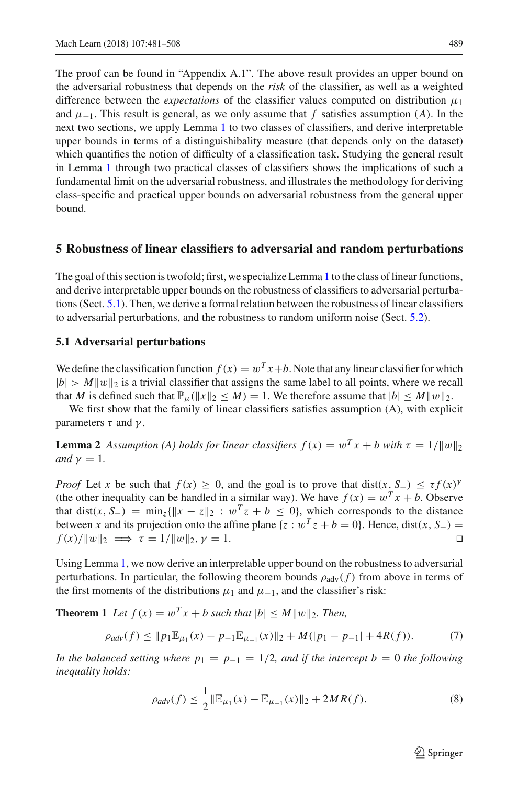The proof can be found in "Appendix A.1". The above result provides an upper bound on the adversarial robustness that depends on the *risk* of the classifier, as well as a weighted difference between the *expectations* of the classifier values computed on distribution  $\mu_1$ and  $\mu_{-1}$ . This result is general, as we only assume that *f* satisfies assumption (*A*). In the next two sections, we apply Lemma [1](#page-7-3) to two classes of classifiers, and derive interpretable upper bounds in terms of a distinguishibality measure (that depends only on the dataset) which quantifies the notion of difficulty of a classification task. Studying the general result in Lemma [1](#page-7-3) through two practical classes of classifiers shows the implications of such a fundamental limit on the adversarial robustness, and illustrates the methodology for deriving class-specific and practical upper bounds on adversarial robustness from the general upper bound.

#### <span id="page-8-0"></span>**5 Robustness of linear classifiers to adversarial and random perturbations**

The goal of this section is twofold; first, we specialize Lemma [1](#page-7-3) to the class of linear functions, and derive interpretable upper bounds on the robustness of classifiers to adversarial perturbations (Sect. [5.1\)](#page-8-1). Then, we derive a formal relation between the robustness of linear classifiers to adversarial perturbations, and the robustness to random uniform noise (Sect. [5.2\)](#page-9-0).

#### <span id="page-8-1"></span>**5.1 Adversarial perturbations**

We define the classification function  $f(x) = w^T x + b$ . Note that any linear classifier for which  $|b| > M||w||_2$  is a trivial classifier that assigns the same label to all points, where we recall that *M* is defined such that  $\mathbb{P}_{\mu}(\|x\|_2 \leq M) = 1$ . We therefore assume that  $|b| \leq M \|w\|_2$ .

We first show that the family of linear classifiers satisfies assumption (A), with explicit parameters  $\tau$  and  $\gamma$ .

**Lemma 2** *Assumption (A) holds for linear classifiers*  $f(x) = w^T x + b$  with  $\tau = 1/||w||_2$ *and*  $\gamma = 1$ *.* 

*Proof* Let *x* be such that  $f(x) \ge 0$ , and the goal is to prove that dist $(x, S_+) \le \tau f(x)$ (the other inequality can be handled in a similar way). We have  $f(x) = w^T x + b$ . Observe that dist(*x*, *S*<sub>−</sub>) =  $\min_z \{ ||x - z||_2 : w^T z + b \le 0 \}$ , which corresponds to the distance between *x* and its projection onto the affine plane {*z* :  $w^T z + b = 0$ }. Hence, dist(*x*, *S*−) =  $f(x)/||w||_2 \implies \tau = 1/||w||_2$ ,  $\gamma = 1$ .  $f(x)/||w||_2 \implies \tau = 1/||w||_2, \gamma = 1.$ 

Using Lemma [1,](#page-7-3) we now derive an interpretable upper bound on the robustness to adversarial perturbations. In particular, the following theorem bounds  $\rho_{\text{adv}}(f)$  from above in terms of the first moments of the distributions  $\mu_1$  and  $\mu_{-1}$ , and the classifier's risk:

**Theorem 1** Let  $f(x) = w^T x + b$  such that  $|b| \le M ||w||_2$ . Then,

$$
\rho_{adv}(f) \le ||p_1 \mathbb{E}_{\mu_1}(x) - p_{-1} \mathbb{E}_{\mu_{-1}}(x)||_2 + M(|p_1 - p_{-1}| + 4R(f)).\tag{7}
$$

*In the balanced setting where*  $p_1 = p_{-1} = 1/2$ *, and if the intercept b = 0 the following inequality holds:*

$$
\rho_{adv}(f) \le \frac{1}{2} \|\mathbb{E}_{\mu_1}(x) - \mathbb{E}_{\mu_{-1}}(x)\|_2 + 2MR(f). \tag{8}
$$

<span id="page-8-3"></span><span id="page-8-2"></span> $\circled{2}$  Springer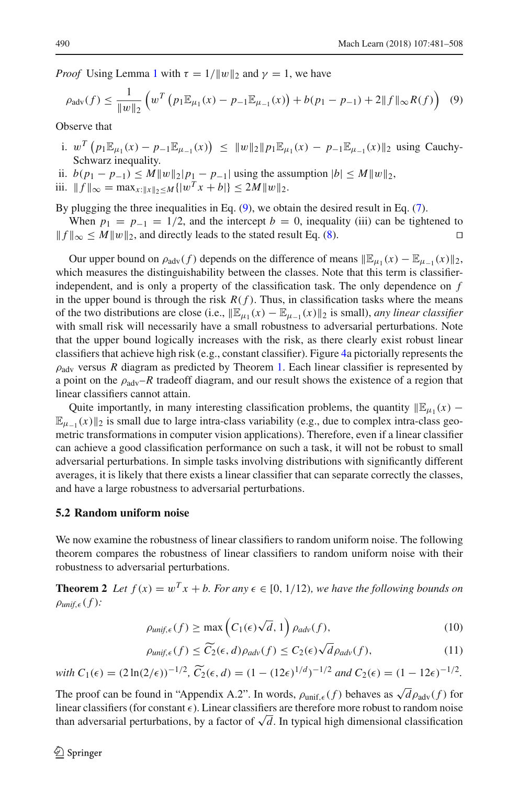*Proof* Using Lemma [1](#page-7-3) with  $\tau = 1/||w||_2$  and  $\gamma = 1$ , we have

<span id="page-9-1"></span>
$$
\rho_{\text{adv}}(f) \le \frac{1}{\|w\|_2} \left( w^T \left( p_1 \mathbb{E}_{\mu_1}(x) - p_{-1} \mathbb{E}_{\mu_{-1}}(x) \right) + b(p_1 - p_{-1}) + 2 \|f\|_{\infty} R(f) \right) \tag{9}
$$

Observe that

- i.  $w^T (p_1 \mathbb{E}_{\mu_1}(x) p_{-1} \mathbb{E}_{\mu_{-1}}(x)) \le ||w||_2 ||p_1 \mathbb{E}_{\mu_1}(x) p_{-1} \mathbb{E}_{\mu_{-1}}(x)||_2$  using Cauchy-Schwarz inequality.
- ii.  $b(p_1 p_{-1}) \leq M \|w\|_2 |p_1 p_{-1}|$  using the assumption  $|b| \leq M \|w\|_2$ ,
- iii.  $||f||_{\infty} = \max_{x: ||x||_2 \le M} { |w^T x + b| } \le 2M ||w||_2.$

By plugging the three inequalities in Eq. [\(9\)](#page-9-1), we obtain the desired result in Eq. [\(7\)](#page-8-2).

When  $p_1 = p_{-1} = 1/2$ , and the intercept  $b = 0$ , inequality (iii) can be tightened to  $\parallel_{\infty} \le M \parallel w \parallel_2$ , and directly leads to the stated result Eq. (8).  $|| f ||_{\infty} \leq M ||w||_2$ , and directly leads to the stated result Eq. [\(8\)](#page-8-3).

Our upper bound on  $\rho_{\text{adv}}(f)$  depends on the difference of means  $\mathbb{E}_{\mu_1}(x) - \mathbb{E}_{\mu_{-1}}(x)\mathbb{I}_2$ , which measures the distinguishability between the classes. Note that this term is classifierindependent, and is only a property of the classification task. The only dependence on *f* in the upper bound is through the risk  $R(f)$ . Thus, in classification tasks where the means of the two distributions are close (i.e.,  $\mathbb{E}_{\mu_1}(x) - \mathbb{E}_{\mu_{-1}}(x)\mathbb{I}_2$  is small), *any linear classifier* with small risk will necessarily have a small robustness to adversarial perturbations. Note that the upper bound logically increases with the risk, as there clearly exist robust linear classifiers that achieve high risk (e.g., constant classifier). Figure [4a](#page-10-0) pictorially represents the  $\rho_{\text{adv}}$  versus *R* diagram as predicted by Theorem [1.](#page-8-3) Each linear classifier is represented by a point on the  $\rho_{\text{adv}}-R$  tradeoff diagram, and our result shows the existence of a region that linear classifiers cannot attain.

Quite importantly, in many interesting classification problems, the quantity  $\mathbb{E}_{\mu_1}(x)$  –  $\mathbb{E}_{u-1}(x)\|_2$  is small due to large intra-class variability (e.g., due to complex intra-class geometric transformations in computer vision applications). Therefore, even if a linear classifier can achieve a good classification performance on such a task, it will not be robust to small adversarial perturbations. In simple tasks involving distributions with significantly different averages, it is likely that there exists a linear classifier that can separate correctly the classes, and have a large robustness to adversarial perturbations.

### <span id="page-9-0"></span>**5.2 Random uniform noise**

We now examine the robustness of linear classifiers to random uniform noise. The following theorem compares the robustness of linear classifiers to random uniform noise with their robustness to adversarial perturbations.

**Theorem 2** *Let*  $f(x) = w^T x + b$ *. For any*  $\epsilon \in [0, 1/12)$ *, we have the following bounds on*  $\rho_{unif,\epsilon}(f)$ :

<span id="page-9-2"></span>
$$
\rho_{unif,\epsilon}(f) \ge \max\left(C_1(\epsilon)\sqrt{d}, 1\right)\rho_{adv}(f),\tag{10}
$$

<span id="page-9-4"></span><span id="page-9-3"></span>
$$
\rho_{\text{unif},\epsilon}(f) \le \widetilde{C}_2(\epsilon,d)\rho_{\text{adv}}(f) \le C_2(\epsilon)\sqrt{d}\rho_{\text{adv}}(f),\tag{11}
$$

*with*  $C_1(\epsilon) = (2 \ln(2/\epsilon))^{-1/2}$ ,  $\widetilde{C_2}(\epsilon, d) = (1 - (12\epsilon)^{1/d})^{-1/2}$  *and*  $C_2(\epsilon) = (1 - 12\epsilon)^{-1/2}$ .

The proof can be found in "Appendix A.2". In words,  $\rho_{\text{unif},\epsilon}(f)$  behaves as  $\sqrt{d\rho_{\text{adv}}(f)}$  for linear classifiers (for constant  $\epsilon$ ). Linear classifiers are therefore more robust to random noise than adversarial perturbations, by a factor of  $\sqrt{d}$ . In typical high dimensional classification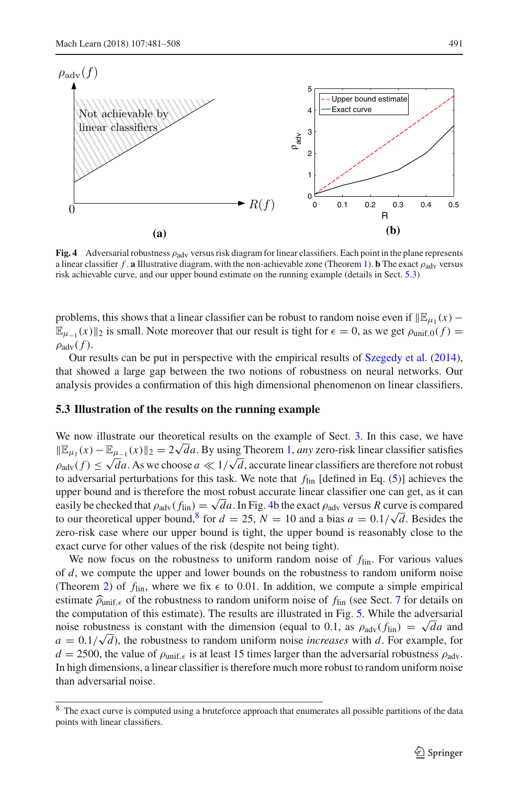

<span id="page-10-0"></span>**Fig. 4** Adversarial robustness ρadv versus risk diagram for linear classifiers. Each point in the plane represents a linear classifier  $f$ . **a** Illustrative diagram, with the non-achievable zone (Theorem [1\)](#page-8-3). **b** The exact  $\rho_{adv}$  versus risk achievable curve, and our upper bound estimate on the running example (details in Sect. [5.3\)](#page-10-1)

problems, this shows that a linear classifier can be robust to random noise even if  $\mathbb{E}_{u_1}(x)$  –  $\mathbb{E}_{u-1}(x)\|_2$  is small. Note moreover that our result is tight for  $\epsilon = 0$ , as we get  $\rho_{\text{unif,0}}(f) =$  $\rho_{\text{adv}}(f)$ .

Our results can be put in perspective with the empirical results of [Szegedy et al.](#page-27-0) [\(2014\)](#page-27-0), that showed a large gap between the two notions of robustness on neural networks. Our analysis provides a confirmation of this high dimensional phenomenon on linear classifiers.

#### <span id="page-10-1"></span>**5.3 Illustration of the results on the running example**

We now illustrate our theoretical results on the example of Sect. [3.](#page-5-0) In this case, we have  $\mathbb{E}_{\mu_1}(x) - \mathbb{E}_{\mu_{-1}}(x) \|_2 = 2\sqrt{d}a$ . By using Theorem [1,](#page-8-3) *any* zero-risk linear classifier satisfies  $\rho_{\text{adv}}(f) \le \sqrt{d}a$ . As we choose  $a \ll 1/\sqrt{d}$ , accurate linear classifiers are therefore not robust to adversarial perturbations for this task. We note that *f*lin [defined in Eq. [\(5\)](#page-5-3)] achieves the upper bound and is therefore the most robust accurate linear classifier one can get, as it can easily be checked that  $\rho_{\text{adv}}(f_{\text{lin}}) = \sqrt{d}a$ . In Fig. [4b](#page-10-0) the exact  $\rho_{\text{adv}}$  versus *R* curve is compared to our theoretical upper bound,<sup>8</sup> for  $d = 25$ ,  $N = 10$  and a bias  $a = 0.1/\sqrt{d}$ . Besides the zero-risk case where our upper bound is tight, the upper bound is reasonably close to the exact curve for other values of the risk (despite not being tight).

We now focus on the robustness to uniform random noise of *f*lin. For various values of *d*, we compute the upper and lower bounds on the robustness to random uniform noise (Theorem [2\)](#page-9-2) of  $f_{lin}$ , where we fix  $\epsilon$  to 0.01. In addition, we compute a simple empirical estimate  $\hat{\rho}_{\text{unif},\epsilon}$  of the robustness to random uniform noise of  $f_{\text{lin}}$  (see Sect. [7](#page-13-0) for details on the computation of this estimate). The results are illustrated in Fig. [5.](#page-11-1) While the adversarial noise robustness is constant with the dimension (equal to 0.1, as  $\rho_{\text{adv}}(f_{\text{lin}}) = \sqrt{d}a$  and  $a = 0.1/\sqrt{d}$ , the robustness to random uniform noise *increases* with *d*. For example, for  $d = 2500$ , the value of  $\rho_{\text{unif},\epsilon}$  is at least 15 times larger than the adversarial robustness  $\rho_{\text{adv}}$ . In high dimensions, a linear classifier is therefore much more robust to random uniform noise than adversarial noise.

<span id="page-10-2"></span><sup>&</sup>lt;sup>8</sup> The exact curve is computed using a bruteforce approach that enumerates all possible partitions of the data points with linear classifiers.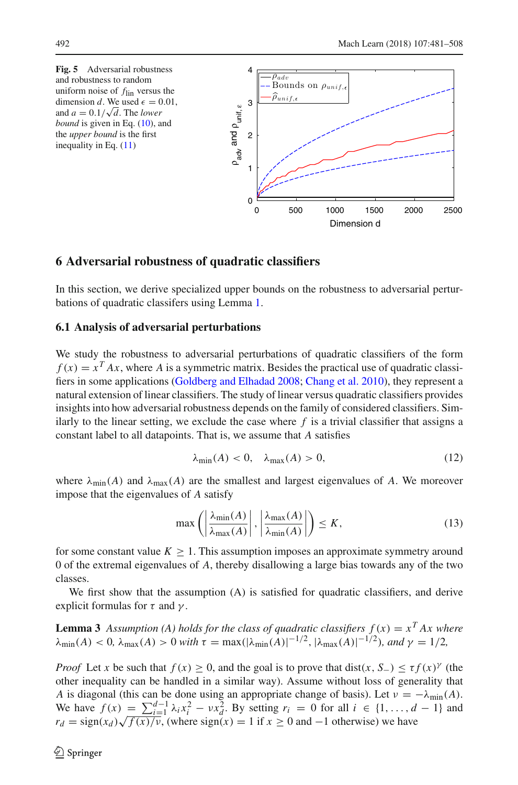<span id="page-11-1"></span>

#### <span id="page-11-0"></span>**6 Adversarial robustness of quadratic classifiers**

In this section, we derive specialized upper bounds on the robustness to adversarial perturbations of quadratic classifers using Lemma [1.](#page-7-3)

### **6.1 Analysis of adversarial perturbations**

We study the robustness to adversarial perturbations of quadratic classifiers of the form  $f(x) = x<sup>T</sup> Ax$ , where *A* is a symmetric matrix. Besides the practical use of quadratic classifiers in some applications [\(Goldberg and Elhadad 2008;](#page-27-15) [Chang et al. 2010\)](#page-26-10), they represent a natural extension of linear classifiers. The study of linear versus quadratic classifiers provides insights into how adversarial robustness depends on the family of considered classifiers. Similarly to the linear setting, we exclude the case where  $f$  is a trivial classifier that assigns a constant label to all datapoints. That is, we assume that *A* satisfies

<span id="page-11-3"></span><span id="page-11-2"></span>
$$
\lambda_{\min}(A) < 0, \quad \lambda_{\max}(A) > 0,\tag{12}
$$

where  $\lambda_{\min}(A)$  and  $\lambda_{\max}(A)$  are the smallest and largest eigenvalues of A. We moreover impose that the eigenvalues of *A* satisfy

<span id="page-11-4"></span>
$$
\max\left(\left|\frac{\lambda_{\min}(A)}{\lambda_{\max}(A)}\right|, \left|\frac{\lambda_{\max}(A)}{\lambda_{\min}(A)}\right|\right) \le K,\tag{13}
$$

for some constant value  $K \geq 1$ . This assumption imposes an approximate symmetry around 0 of the extremal eigenvalues of *A*, thereby disallowing a large bias towards any of the two classes.

We first show that the assumption (A) is satisfied for quadratic classifiers, and derive explicit formulas for  $\tau$  and  $\gamma$ .

**Lemma 3** Assumption (A) holds for the class of quadratic classifiers  $f(x) = x^T A x$  where  $\lambda_{\min}(A) < 0$ ,  $\lambda_{\max}(A) > 0$  *with*  $\tau = \max(|\lambda_{\min}(A)|^{-1/2}, |\lambda_{\max}(A)|^{-1/2})$ *, and*  $\gamma = 1/2$ *,* 

*Proof* Let *x* be such that  $f(x) \ge 0$ , and the goal is to prove that dist(*x*, *S*−)  $\le \tau f(x)$ <sup>γ</sup> (the other inequality can be handled in a similar way). Assume without loss of generality that *A* is diagonal (this can be done using an appropriate change of basis). Let  $\nu = -\lambda_{\min}(A)$ . We have  $f(x) = \sum_{i=1}^{d-1} \lambda_i x_i^2 - \nu x_d^2$ . By setting  $r_i = 0$  for all *i* ∈ {1,..., *d* − 1} and  $r_d = \text{sign}(x_d) \sqrt{f(x)/v}$ , (where  $\text{sign}(x) = 1$  if  $x \ge 0$  and  $-1$  otherwise) we have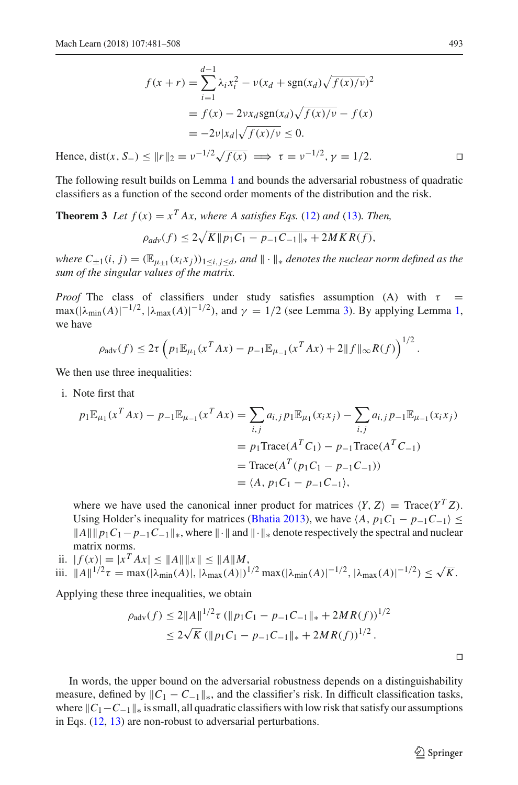$$
f(x+r) = \sum_{i=1}^{d-1} \lambda_i x_i^2 - \nu (x_d + \text{sgn}(x_d) \sqrt{f(x)/\nu})^2
$$
  
=  $f(x) - 2\nu x_d \text{sgn}(x_d) \sqrt{f(x)/\nu} - f(x)$   
=  $-2\nu |x_d| \sqrt{f(x)/\nu} \le 0$ .

Hence, dist(*x*, *S*<sub>−</sub>) <  $||r||_2 = v^{-1/2} \sqrt{f(x)} \implies \tau = v^{-1/2}, \gamma = 1/2.$ 

The following result builds on Lemma [1](#page-7-3) and bounds the adversarial robustness of quadratic classifiers as a function of the second order moments of the distribution and the risk.

# **Theorem 3** *Let*  $f(x) = x^T A x$ , where A satisfies Eqs. [\(12\)](#page-11-2) and [\(13\)](#page-11-3). Then,  $\rho_{adv}(f) \leq 2\sqrt{K} || p_1 C_1 - p_{-1} C_{-1} ||_* + 2MKR(f),$

*where*  $C_{\pm 1}(i, j) = (\mathbb{E}_{\mu+1}(x_i x_j))_{1 \le i, j \le d}$ , and  $\|\cdot\|_*$  denotes the nuclear norm defined as the *sum of the singular values of the matrix.*

*Proof* The class of classifiers under study satisfies assumption (A) with  $\tau$  =  $\max(|\lambda_{\min}(A)|^{-1/2}, |\lambda_{\max}(A)|^{-1/2})$ , and  $\gamma = 1/2$  (see Lemma [3\)](#page-11-4). By applying Lemma [1,](#page-7-3) we have

$$
\rho_{\text{adv}}(f) \leq 2\tau \left( p_1 \mathbb{E}_{\mu_1}(x^T A x) - p_{-1} \mathbb{E}_{\mu_{-1}}(x^T A x) + 2 \|f\|_{\infty} R(f) \right)^{1/2}.
$$

We then use three inequalities:

i. Note first that

$$
p_1 \mathbb{E}_{\mu_1}(x^T A x) - p_{-1} \mathbb{E}_{\mu_{-1}}(x^T A x) = \sum_{i,j} a_{i,j} p_1 \mathbb{E}_{\mu_1}(x_i x_j) - \sum_{i,j} a_{i,j} p_{-1} \mathbb{E}_{\mu_{-1}}(x_i x_j)
$$
  
=  $p_1 \text{Trace}(A^T C_1) - p_{-1} \text{Trace}(A^T C_{-1})$   
=  $\text{Trace}(A^T (p_1 C_1 - p_{-1} C_{-1}))$   
=  $\langle A, p_1 C_1 - p_{-1} C_{-1} \rangle$ ,

where we have used the canonical inner product for matrices  $\langle Y, Z \rangle = \text{Trace}(Y^T Z)$ . Using Holder's inequality for matrices [\(Bhatia 2013](#page-26-11)), we have  $\langle A, p_1 C_1 - p_{-1} C_{-1} \rangle \leq$  $||A|| ||p_1C_1 - p_{-1}C_{-1}||_*$ , where  $|| \cdot ||$  and  $|| \cdot ||_*$  denote respectively the spectral and nuclear matrix norms.

ii.  $|f(x)| = |x^T A x| \le ||A|| ||x|| \le ||A|| ||M$ ,

iii. 
$$
||A||^{1/2}\tau = \max(|\lambda_{\min}(A)|, |\lambda_{\max}(A)|)^{1/2} \max(|\lambda_{\min}(A)|^{-1/2}, |\lambda_{\max}(A)|^{-1/2}) \le \sqrt{K}
$$
.

Applying these three inequalities, we obtain

$$
\rho_{\text{adv}}(f) \le 2||A||^{1/2} \tau (||p_1 C_1 - p_{-1} C_{-1}||_* + 2MR(f))^{1/2}
$$
  
 
$$
\le 2\sqrt{K} (||p_1 C_1 - p_{-1} C_{-1}||_* + 2MR(f))^{1/2}.
$$

In words, the upper bound on the adversarial robustness depends on a distinguishability measure, defined by  $\|C_1 - C_{-1}\|_*$ , and the classifier's risk. In difficult classification tasks, where  $\|C_1 - C_{-1}\|_*$  is small, all quadratic classifiers with low risk that satisfy our assumptions in Eqs. [\(12,](#page-11-2) [13\)](#page-11-3) are non-robust to adversarial perturbations.

 $\Box$ 

<span id="page-12-0"></span>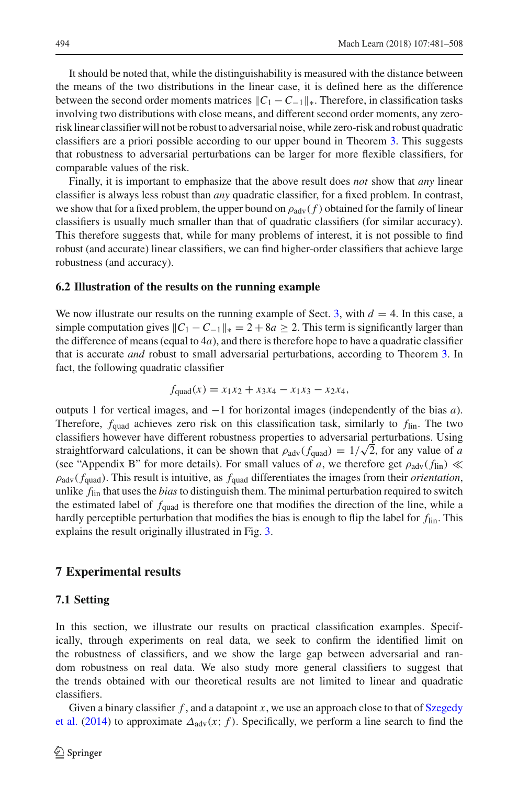It should be noted that, while the distinguishability is measured with the distance between the means of the two distributions in the linear case, it is defined here as the difference between the second order moments matrices  $\|C_1 - C_{-1}\|_*$ . Therefore, in classification tasks involving two distributions with close means, and different second order moments, any zerorisk linear classifier will not be robust to adversarial noise, while zero-risk and robust quadratic classifiers are a priori possible according to our upper bound in Theorem [3.](#page-12-0) This suggests that robustness to adversarial perturbations can be larger for more flexible classifiers, for comparable values of the risk.

Finally, it is important to emphasize that the above result does *not* show that *any* linear classifier is always less robust than *any* quadratic classifier, for a fixed problem. In contrast, we show that for a fixed problem, the upper bound on  $\rho_{\text{adv}}(f)$  obtained for the family of linear classifiers is usually much smaller than that of quadratic classifiers (for similar accuracy). This therefore suggests that, while for many problems of interest, it is not possible to find robust (and accurate) linear classifiers, we can find higher-order classifiers that achieve large robustness (and accuracy).

#### **6.2 Illustration of the results on the running example**

We now illustrate our results on the running example of Sect. [3,](#page-5-0) with  $d = 4$ . In this case, a simple computation gives  $\|C_1 - C_{-1}\|_{*} = 2 + 8a \geq 2$ . This term is significantly larger than the difference of means (equal to  $4a$ ), and there is therefore hope to have a quadratic classifier that is accurate *and* robust to small adversarial perturbations, according to Theorem [3.](#page-12-0) In fact, the following quadratic classifier

$$
f_{\text{quad}}(x) = x_1 x_2 + x_3 x_4 - x_1 x_3 - x_2 x_4,
$$

outputs 1 for vertical images, and −1 for horizontal images (independently of the bias *a*). Therefore, *f*quad achieves zero risk on this classification task, similarly to *f*lin. The two classifiers however have different robustness properties to adversarial perturbations. Using straightforward calculations, it can be shown that  $\rho_{\text{adv}}(f_{\text{quad}}) = 1/\sqrt{2}$ , for any value of *a* (see "Appendix B" for more details). For small values of *a*, we therefore get  $\rho_{\text{adv}}(f_{\text{lin}}) \ll$  $\rho_{\text{adv}}(f_{\text{quad}})$ . This result is intuitive, as  $f_{\text{quad}}$  differentiates the images from their *orientation*, unlike *f*lin that uses the *bias*to distinguish them. The minimal perturbation required to switch the estimated label of *f*quad is therefore one that modifies the direction of the line, while a hardly perceptible perturbation that modifies the bias is enough to flip the label for *f*lin. This explains the result originally illustrated in Fig. [3.](#page-6-1)

#### <span id="page-13-0"></span>**7 Experimental results**

#### **7.1 Setting**

In this section, we illustrate our results on practical classification examples. Specifically, through experiments on real data, we seek to confirm the identified limit on the robustness of classifiers, and we show the large gap between adversarial and random robustness on real data. We also study more general classifiers to suggest that the trends obtained with our theoretical results are not limited to linear and quadratic classifiers.

Given a binary classifier  $f$ [,](#page-27-0) [an](#page-27-0)d a datapoint  $x$ , [we](#page-27-0) [use](#page-27-0) an [approach](#page-27-0) [close](#page-27-0) [to](#page-27-0) [that](#page-27-0) [of](#page-27-0) Szegedy et al. [\(2014](#page-27-0)) to approximate  $\Delta_{\text{adv}}(x; f)$ . Specifically, we perform a line search to find the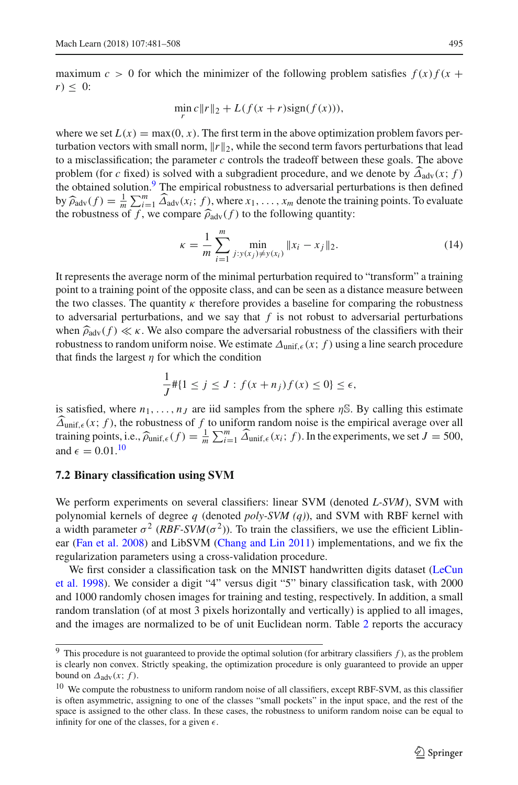maximum  $c > 0$  for which the minimizer of the following problem satisfies  $f(x) f(x)$  $r) \leq 0$ :

$$
\min_{r} c \|r\|_2 + L(f(x+r)\text{sign}(f(x))),
$$

where we set  $L(x) = \max(0, x)$ . The first term in the above optimization problem favors perturbation vectors with small norm,  $\|r\|_2$ , while the second term favors perturbations that lead to a misclassification; the parameter *c* controls the tradeoff between these goals. The above problem (for *c* fixed) is solved with a subgradient procedure, and we denote by  $\widehat{\Delta}_{adv}(x; f)$ the obtained solution. $9$  The empirical robustness to adversarial perturbations is then defined by  $\widehat{\rho}_{\text{adv}}(f) = \frac{1}{m} \sum_{i=1}^{m} \widehat{\Delta}_{\text{adv}}(x_i; f)$ , where  $x_1, \ldots, x_m$  denote the training points. To evaluate the robustness of  $f$  we compare  $\widehat{\Delta}_{\perp}(f)$  to the following quantity: the robustness of f, we compare  $\hat{\rho}_{adv}(f)$  to the following quantity:

<span id="page-14-2"></span>
$$
\kappa = \frac{1}{m} \sum_{i=1}^{m} \min_{j: y(x_j) \neq y(x_i)} \|x_i - x_j\|_2.
$$
 (14)

It represents the average norm of the minimal perturbation required to "transform" a training point to a training point of the opposite class, and can be seen as a distance measure between the two classes. The quantity  $\kappa$  therefore provides a baseline for comparing the robustness to adversarial perturbations, and we say that  $f$  is not robust to adversarial perturbations when  $\widehat{\rho}_{\text{adv}}(f) \ll \kappa$ . We also compare the adversarial robustness of the classifiers with their robustness to random uniform noise. We estimate  $\Delta_{\text{unif}, \epsilon}(x; f)$  using a line search procedure that finds the largest  $\eta$  for which the condition

$$
\frac{1}{J} \# \{ 1 \le j \le J : f(x + n_j) f(x) \le 0 \} \le \epsilon,
$$

is satisfied, where  $n_1, \ldots, n_J$  are iid samples from the sphere  $\eta$ <sup>S</sup>. By calling this estimate  $\widehat{\Delta}_{\text{unif},\epsilon}(x; f)$ , the robustness of f to uniform random noise is the empirical average over all training points, i.e.,  $\hat{\rho}_{\text{unif},\epsilon}(f) = \frac{1}{m} \sum_{i=1}^{m} \hat{\Delta}_{\text{unif},\epsilon}(x_i; f)$ . In the experiments, we set  $J = 500$ , and  $\epsilon = 0.01$ .<sup>10</sup>

#### **7.2 Binary classification using SVM**

We perform experiments on several classifiers: linear SVM (denoted *L-SVM*), SVM with polynomial kernels of degree *q* (denoted *poly-SVM (q)*), and SVM with RBF kernel with a width parameter  $\sigma^2$  (*RBF-SVM*( $\sigma^2$ )). To train the classifiers, we use the efficient Liblinear [\(Fan et al. 2008](#page-26-12)) and LibSVM [\(Chang and Lin 2011\)](#page-26-13) implementations, and we fix the regularization parameters using a cross-validation procedure.

[We](#page-27-16) [first](#page-27-16) [consider](#page-27-16) [a](#page-27-16) [classification](#page-27-16) [task](#page-27-16) [on](#page-27-16) [the](#page-27-16) [MNIST](#page-27-16) [handwritten](#page-27-16) [digits](#page-27-16) [dataset](#page-27-16) [\(](#page-27-16)LeCun et al. [1998](#page-27-16)). We consider a digit "4" versus digit "5" binary classification task, with 2000 and 1000 randomly chosen images for training and testing, respectively. In addition, a small random translation (of at most 3 pixels horizontally and vertically) is applied to all images, and the images are normalized to be of unit Euclidean norm. Table [2](#page-15-0) reports the accuracy

<span id="page-14-0"></span><sup>9</sup> This procedure is not guaranteed to provide the optimal solution (for arbitrary classifiers *f* ), as the problem is clearly non convex. Strictly speaking, the optimization procedure is only guaranteed to provide an upper bound on  $\Delta_{\text{adv}}(x; f)$ .

<span id="page-14-1"></span><sup>&</sup>lt;sup>10</sup> We compute the robustness to uniform random noise of all classifiers, except RBF-SVM, as this classifier is often asymmetric, assigning to one of the classes "small pockets" in the input space, and the rest of the space is assigned to the other class. In these cases, the robustness to uniform random noise can be equal to infinity for one of the classes, for a given  $\epsilon$ .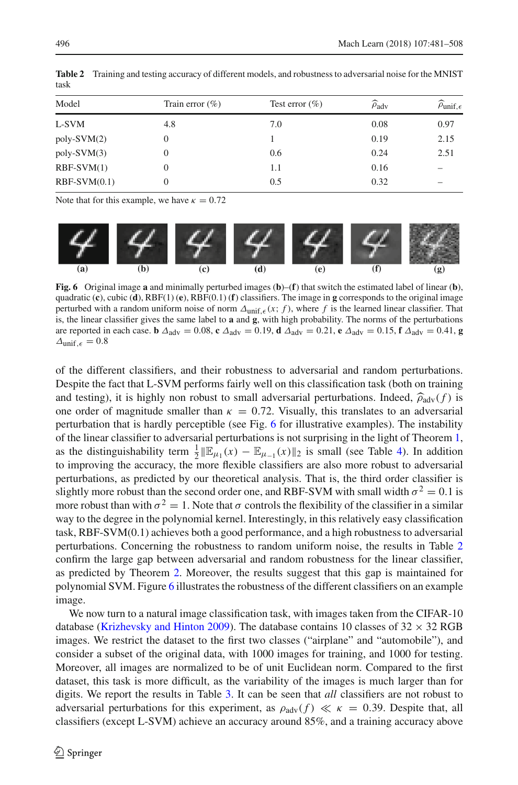| <b>Table 2</b> Training and testing accuracy of different models, and robustness to adversarial noise for the MNIST |
|---------------------------------------------------------------------------------------------------------------------|

| Model          | Train error $(\% )$ | Test error $(\% )$ | $\widehat{\rho}_{\mathrm{adv}}$ | $\widehat{\rho}_{\text{unif},\epsilon}$ |
|----------------|---------------------|--------------------|---------------------------------|-----------------------------------------|
| L-SVM          | 4.8                 | 7.0                | 0.08                            | 0.97                                    |
| $poly-SVM(2)$  | 0                   |                    | 0.19                            | 2.15                                    |
| $poly-SVM(3)$  | 0                   | 0.6                | 0.24                            | 2.51                                    |
| $RBF-SVM(1)$   | 0                   | 1.1                | 0.16                            |                                         |
| $RBF-SVM(0.1)$ | 0                   | 0.5                | 0.32                            |                                         |

Note that for this example, we have  $\kappa = 0.72$ 



<span id="page-15-1"></span>**Fig. 6** Original image **a** and minimally perturbed images (**b**)–(**f**) that switch the estimated label of linear (**b**), quadratic (**c**), cubic (**d**), RBF(1) (**e**), RBF(0.1) (**f**) classifiers. The image in **g** corresponds to the original image perturbed with a random uniform noise of norm  $\Delta_{\text{unif},\epsilon}(x; f)$ , where f is the learned linear classifier. That is, the linear classifier gives the same label to **a** and **g**, with high probability. The norms of the perturbations are reported in each case. **b**  $\Delta_{\text{adv}} = 0.08$ , **c**  $\Delta_{\text{adv}} = 0.19$ , **d**  $\Delta_{\text{adv}} = 0.21$ , **e**  $\Delta_{\text{adv}} = 0.15$ , **f**  $\Delta_{\text{adv}} = 0.41$ , **g**  $\Delta$ unif,  $\epsilon = 0.8$ 

of the different classifiers, and their robustness to adversarial and random perturbations. Despite the fact that L-SVM performs fairly well on this classification task (both on training and testing), it is highly non robust to small adversarial perturbations. Indeed,  $\hat{\rho}_{adv}(f)$  is one order of magnitude smaller than  $\kappa = 0.72$ . Visually, this translates to an adversarial perturbation that is hardly perceptible (see Fig. [6](#page-15-1) for illustrative examples). The instability of the linear classifier to adversarial perturbations is not surprising in the light of Theorem [1,](#page-8-3) as the distinguishability term  $\frac{1}{2} \|\mathbb{E}_{\mu_1}(x) - \mathbb{E}_{\mu_{-1}}(x)\|_2$  is small (see Table [4\)](#page-16-0). In addition to improving the accuracy, the more flexible classifiers are also more robust to adversarial perturbations, as predicted by our theoretical analysis. That is, the third order classifier is slightly more robust than the second order one, and RBF-SVM with small width  $\sigma^2 = 0.1$  is more robust than with  $\sigma^2 = 1$ . Note that  $\sigma$  controls the flexibility of the classifier in a similar way to the degree in the polynomial kernel. Interestingly, in this relatively easy classification task, RBF-SVM(0.1) achieves both a good performance, and a high robustness to adversarial perturbations. Concerning the robustness to random uniform noise, the results in Table [2](#page-15-0) confirm the large gap between adversarial and random robustness for the linear classifier, as predicted by Theorem [2.](#page-9-2) Moreover, the results suggest that this gap is maintained for polynomial SVM. Figure [6](#page-15-1) illustrates the robustness of the different classifiers on an example image.

We now turn to a natural image classification task, with images taken from the CIFAR-10 database [\(Krizhevsky and Hinton 2009\)](#page-27-17). The database contains 10 classes of  $32 \times 32$  RGB images. We restrict the dataset to the first two classes ("airplane" and "automobile"), and consider a subset of the original data, with 1000 images for training, and 1000 for testing. Moreover, all images are normalized to be of unit Euclidean norm. Compared to the first dataset, this task is more difficult, as the variability of the images is much larger than for digits. We report the results in Table [3.](#page-16-1) It can be seen that *all* classifiers are not robust to adversarial perturbations for this experiment, as  $\rho_{\text{adv}}(f) \ll \kappa = 0.39$ . Despite that, all classifiers (except L-SVM) achieve an accuracy around 85%, and a training accuracy above

<span id="page-15-0"></span>task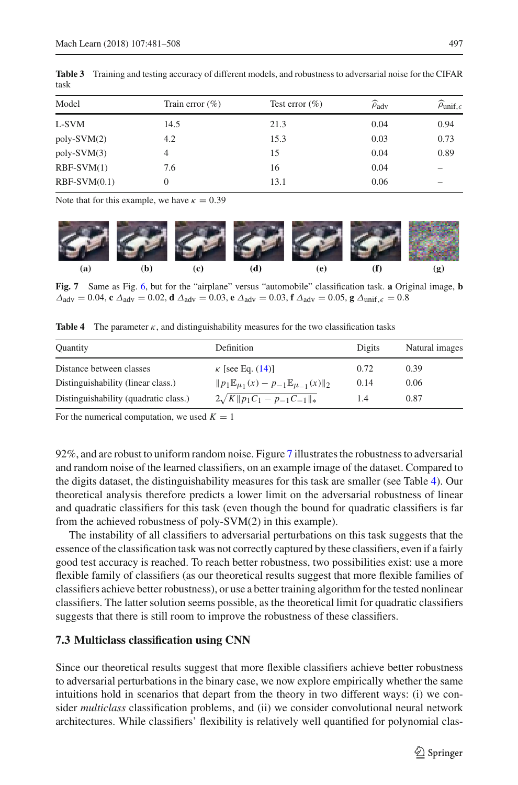| Model          | Train error $(\% )$ | Test error $(\% )$ | $\widehat{\rho}_{\mathrm{adv}}$ | $\widehat{\rho}_{\text{unif},\epsilon}$ |
|----------------|---------------------|--------------------|---------------------------------|-----------------------------------------|
| L-SVM          | 14.5                | 21.3               | 0.04                            | 0.94                                    |
| $poly-SVM(2)$  | 4.2                 | 15.3               | 0.03                            | 0.73                                    |
| $poly-SVM(3)$  | 4                   | 15                 | 0.04                            | 0.89                                    |
| $RBF-SVM(1)$   | 7.6                 | 16                 | 0.04                            |                                         |
| $RBF-SVM(0.1)$ | 0                   | 13.1               | 0.06                            |                                         |

<span id="page-16-1"></span>**Table 3** Training and testing accuracy of different models, and robustness to adversarial noise for the CIFAR task

Note that for this example, we have  $\kappa = 0.39$ 



**Fig. 7** Same as Fig. [6,](#page-15-1) but for the "airplane" versus "automobile" classification task. **a** Original image, **b**  $\Delta_{\text{adv}} = 0.04$ , **c**  $\Delta_{\text{adv}} = 0.02$ , **d**  $\Delta_{\text{adv}} = 0.03$ , **e**  $\Delta_{\text{adv}} = 0.03$ , **f**  $\Delta_{\text{adv}} = 0.05$ , **g**  $\Delta_{\text{unif}, \epsilon} = 0.8$ 

<span id="page-16-2"></span><span id="page-16-0"></span>**Table 4** The parameter  $\kappa$ , and distinguishability measures for the two classification tasks

| <b>Quantity</b>                       | Definition                                                          | Digits | Natural images |
|---------------------------------------|---------------------------------------------------------------------|--------|----------------|
| Distance between classes              | $\kappa$ [see Eq. (14)]                                             | 0.72   | 0.39           |
| Distinguishability (linear class.)    | $  p_1 \mathbb{E}_{\mu_1}(x) - p_{-1} \mathbb{E}_{\mu_{-1}}(x)  _2$ | 0.14   | 0.06           |
| Distinguishability (quadratic class.) | $2\sqrt{K}  p_1C_1-p_{-1}C_{-1}  _*$                                | 1.4    | 0.87           |

For the numerical computation, we used  $K = 1$ 

92%, and are robust to uniform random noise. Figure [7](#page-16-2) illustrates the robustness to adversarial and random noise of the learned classifiers, on an example image of the dataset. Compared to the digits dataset, the distinguishability measures for this task are smaller (see Table [4\)](#page-16-0). Our theoretical analysis therefore predicts a lower limit on the adversarial robustness of linear and quadratic classifiers for this task (even though the bound for quadratic classifiers is far from the achieved robustness of poly-SVM(2) in this example).

The instability of all classifiers to adversarial perturbations on this task suggests that the essence of the classification task was not correctly captured by these classifiers, even if a fairly good test accuracy is reached. To reach better robustness, two possibilities exist: use a more flexible family of classifiers (as our theoretical results suggest that more flexible families of classifiers achieve better robustness), or use a better training algorithm for the tested nonlinear classifiers. The latter solution seems possible, as the theoretical limit for quadratic classifiers suggests that there is still room to improve the robustness of these classifiers.

#### **7.3 Multiclass classification using CNN**

Since our theoretical results suggest that more flexible classifiers achieve better robustness to adversarial perturbations in the binary case, we now explore empirically whether the same intuitions hold in scenarios that depart from the theory in two different ways: (i) we consider *multiclass* classification problems, and (ii) we consider convolutional neural network architectures. While classifiers' flexibility is relatively well quantified for polynomial clas-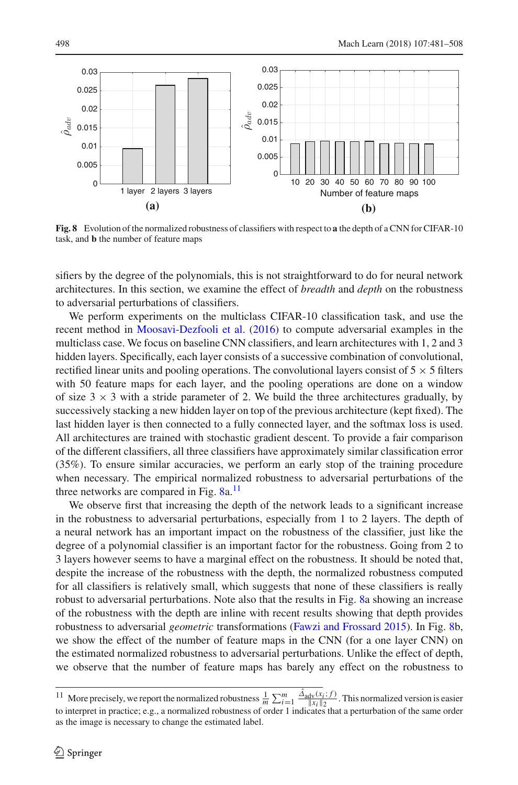

<span id="page-17-0"></span>**Fig. 8** Evolution of the normalized robustness of classifiers with respect to **a** the depth of a CNN for CIFAR-10 task, and **b** the number of feature maps

sifiers by the degree of the polynomials, this is not straightforward to do for neural network architectures. In this section, we examine the effect of *breadth* and *depth* on the robustness to adversarial perturbations of classifiers.

We perform experiments on the multiclass CIFAR-10 classification task, and use the recent method in [Moosavi-Dezfooli et al.](#page-27-18) [\(2016\)](#page-27-18) to compute adversarial examples in the multiclass case. We focus on baseline CNN classifiers, and learn architectures with 1, 2 and 3 hidden layers. Specifically, each layer consists of a successive combination of convolutional, rectified linear units and pooling operations. The convolutional layers consist of  $5 \times 5$  filters with 50 feature maps for each layer, and the pooling operations are done on a window of size  $3 \times 3$  with a stride parameter of 2. We build the three architectures gradually, by successively stacking a new hidden layer on top of the previous architecture (kept fixed). The last hidden layer is then connected to a fully connected layer, and the softmax loss is used. All architectures are trained with stochastic gradient descent. To provide a fair comparison of the different classifiers, all three classifiers have approximately similar classification error (35%). To ensure similar accuracies, we perform an early stop of the training procedure when necessary. The empirical normalized robustness to adversarial perturbations of the three networks are compared in Fig.  $8a$ <sup>[11](#page-17-1)</sup>

We observe first that increasing the depth of the network leads to a significant increase in the robustness to adversarial perturbations, especially from 1 to 2 layers. The depth of a neural network has an important impact on the robustness of the classifier, just like the degree of a polynomial classifier is an important factor for the robustness. Going from 2 to 3 layers however seems to have a marginal effect on the robustness. It should be noted that, despite the increase of the robustness with the depth, the normalized robustness computed for all classifiers is relatively small, which suggests that none of these classifiers is really robust to adversarial perturbations. Note also that the results in Fig. [8a](#page-17-0) showing an increase of the robustness with the depth are inline with recent results showing that depth provides robustness to adversarial *geometric* transformations [\(Fawzi and Frossard 2015\)](#page-26-14). In Fig. [8b](#page-17-0), we show the effect of the number of feature maps in the CNN (for a one layer CNN) on the estimated normalized robustness to adversarial perturbations. Unlike the effect of depth, we observe that the number of feature maps has barely any effect on the robustness to

<span id="page-17-1"></span><sup>&</sup>lt;sup>11</sup> More precisely, we report the normalized robustness  $\frac{1}{m}\sum_{i=1}^{m}\frac{\Delta_{\text{adv}}(x_i; f)}{||x_i||_2}$ . This normalized version is easier to interpret in practice; e.g., a normalized robustness of order 1 indicates that a perturbation of the same order as the image is necessary to change the estimated label.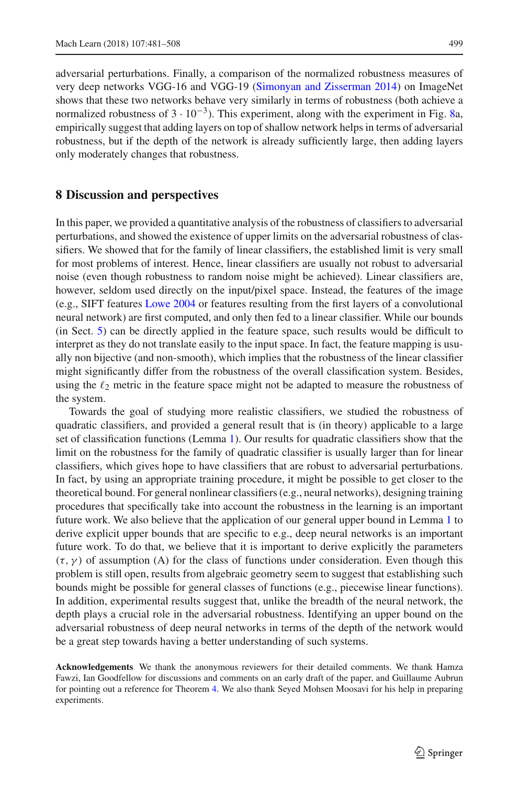adversarial perturbations. Finally, a comparison of the normalized robustness measures of very deep networks VGG-16 and VGG-19 [\(Simonyan and Zisserman 2014\)](#page-27-19) on ImageNet shows that these two networks behave very similarly in terms of robustness (both achieve a normalized robustness of  $3 \cdot 10^{-3}$ ). This experiment, along with the experiment in Fig. [8a](#page-17-0), empirically suggest that adding layers on top of shallow network helps in terms of adversarial robustness, but if the depth of the network is already sufficiently large, then adding layers only moderately changes that robustness.

## **8 Discussion and perspectives**

In this paper, we provided a quantitative analysis of the robustness of classifiers to adversarial perturbations, and showed the existence of upper limits on the adversarial robustness of classifiers. We showed that for the family of linear classifiers, the established limit is very small for most problems of interest. Hence, linear classifiers are usually not robust to adversarial noise (even though robustness to random noise might be achieved). Linear classifiers are, however, seldom used directly on the input/pixel space. Instead, the features of the image (e.g., SIFT features [Lowe 2004](#page-27-20) or features resulting from the first layers of a convolutional neural network) are first computed, and only then fed to a linear classifier. While our bounds (in Sect. [5\)](#page-8-0) can be directly applied in the feature space, such results would be difficult to interpret as they do not translate easily to the input space. In fact, the feature mapping is usually non bijective (and non-smooth), which implies that the robustness of the linear classifier might significantly differ from the robustness of the overall classification system. Besides, using the  $\ell_2$  metric in the feature space might not be adapted to measure the robustness of the system.

Towards the goal of studying more realistic classifiers, we studied the robustness of quadratic classifiers, and provided a general result that is (in theory) applicable to a large set of classification functions (Lemma [1\)](#page-7-3). Our results for quadratic classifiers show that the limit on the robustness for the family of quadratic classifier is usually larger than for linear classifiers, which gives hope to have classifiers that are robust to adversarial perturbations. In fact, by using an appropriate training procedure, it might be possible to get closer to the theoretical bound. For general nonlinear classifiers (e.g., neural networks), designing training procedures that specifically take into account the robustness in the learning is an important future work. We also believe that the application of our general upper bound in Lemma [1](#page-7-3) to derive explicit upper bounds that are specific to e.g., deep neural networks is an important future work. To do that, we believe that it is important to derive explicitly the parameters  $(\tau, \gamma)$  of assumption (A) for the class of functions under consideration. Even though this problem is still open, results from algebraic geometry seem to suggest that establishing such bounds might be possible for general classes of functions (e.g., piecewise linear functions). In addition, experimental results suggest that, unlike the breadth of the neural network, the depth plays a crucial role in the adversarial robustness. Identifying an upper bound on the adversarial robustness of deep neural networks in terms of the depth of the network would be a great step towards having a better understanding of such systems.

**Acknowledgements** We thank the anonymous reviewers for their detailed comments. We thank Hamza Fawzi, Ian Goodfellow for discussions and comments on an early draft of the paper, and Guillaume Aubrun for pointing out a reference for Theorem [4.](#page-20-0) We also thank Seyed Mohsen Moosavi for his help in preparing experiments.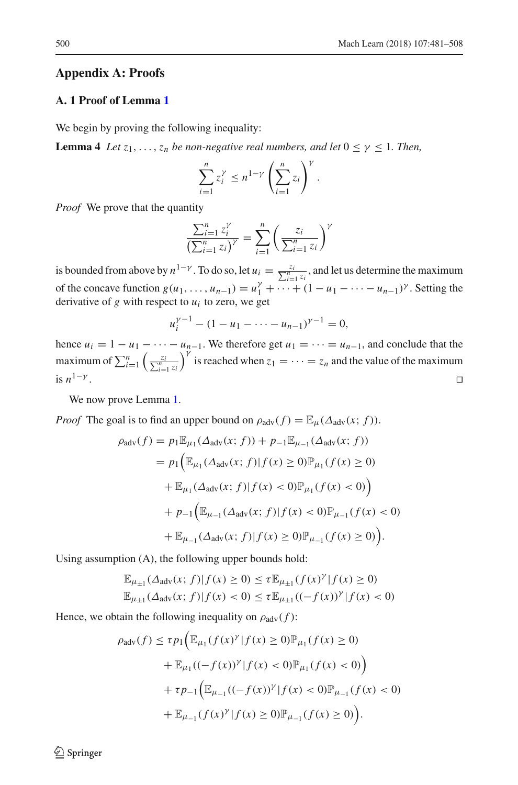#### **Appendix A: Proofs**

## **A. 1 Proof of Lemma [1](#page-7-3)**

We begin by proving the following inequality:

**Lemma 4** *Let*  $z_1, \ldots, z_n$  *be non-negative real numbers, and let*  $0 \leq \gamma \leq 1$ *. Then,* 

<span id="page-19-0"></span>
$$
\sum_{i=1}^n z_i^{\gamma} \le n^{1-\gamma} \left(\sum_{i=1}^n z_i\right)^{\gamma}.
$$

*Proof* We prove that the quantity

$$
\frac{\sum_{i=1}^{n} z_i^{\gamma}}{\left(\sum_{i=1}^{n} z_i\right)^{\gamma}} = \sum_{i=1}^{n} \left(\frac{z_i}{\sum_{i=1}^{n} z_i}\right)^{\gamma}
$$

is bounded from above by  $n^{1-\gamma}$ . To do so, let  $u_i = \frac{z_i}{\sum_{i=1}^{\gamma} z_i}$ , and let us determine the maximum of the concave function  $g(u_1, ..., u_{n-1}) = u_1^{\gamma} + \cdots + (1 - u_1 - \cdots - u_{n-1})^{\gamma}$ . Setting the derivative of  $g$  with respect to  $u_i$  to zero, we get

$$
u_i^{\gamma-1} - (1 - u_1 - \dots - u_{n-1})^{\gamma-1} = 0,
$$

hence  $u_i = 1 - u_1 - \cdots - u_{n-1}$ . We therefore get  $u_1 = \cdots = u_{n-1}$ , and conclude that the maximum of  $\sum_{i=1}^{n} \left( \frac{z_i}{\sum_{i=1}^{n} z_i} \right)$  $\int_{0}^{\infty}$  is reached when  $z_1 = \cdots = z_n$  and the value of the maximum is  $n^{1-\gamma}$ .

We now prove Lemma [1.](#page-7-3)

*Proof* The goal is to find an upper bound on  $\rho_{\text{adv}}(f) = \mathbb{E}_{\mu}(\Delta_{\text{adv}}(x; f)).$ 

$$
\rho_{\text{adv}}(f) = p_1 \mathbb{E}_{\mu_1}(\Delta_{\text{adv}}(x; f)) + p_{-1} \mathbb{E}_{\mu_{-1}}(\Delta_{\text{adv}}(x; f))
$$
  
=  $p_1 \Big( \mathbb{E}_{\mu_1}(\Delta_{\text{adv}}(x; f)) | f(x) \ge 0) \mathbb{P}_{\mu_1}(f(x) \ge 0)$   
+  $\mathbb{E}_{\mu_1}(\Delta_{\text{adv}}(x; f)) | f(x) < 0) \mathbb{P}_{\mu_1}(f(x) < 0) \Big)$   
+  $p_{-1} \Big( \mathbb{E}_{\mu_{-1}}(\Delta_{\text{adv}}(x; f)) | f(x) < 0) \mathbb{P}_{\mu_{-1}}(f(x) < 0)$   
+  $\mathbb{E}_{\mu_{-1}}(\Delta_{\text{adv}}(x; f)) | f(x) \ge 0) \mathbb{P}_{\mu_{-1}}(f(x) \ge 0) \Big).$ 

Using assumption (A), the following upper bounds hold:

$$
\mathbb{E}_{\mu_{\pm 1}}(\Delta_{\text{adv}}(x; f)|f(x) \ge 0) \le \tau \mathbb{E}_{\mu_{\pm 1}}(f(x)^{\gamma}|f(x) \ge 0)
$$
  

$$
\mathbb{E}_{\mu_{\pm 1}}(\Delta_{\text{adv}}(x; f)|f(x) < 0) \le \tau \mathbb{E}_{\mu_{\pm 1}}((-f(x))^{\gamma}|f(x) < 0)
$$

Hence, we obtain the following inequality on  $\rho_{\text{adv}}(f)$ :

$$
\rho_{\text{adv}}(f) \le \tau p_1 \Big( \mathbb{E}_{\mu_1} (f(x)^{\gamma} | f(x) \ge 0) \mathbb{P}_{\mu_1} (f(x) \ge 0) + \mathbb{E}_{\mu_1} ((-f(x))^{\gamma} | f(x) < 0) \mathbb{P}_{\mu_1} (f(x) < 0) \Big) + \tau p_{-1} \Big( \mathbb{E}_{\mu_{-1}} ((-f(x))^{\gamma} | f(x) < 0) \mathbb{P}_{\mu_{-1}} (f(x) < 0) + \mathbb{E}_{\mu_{-1}} (f(x)^{\gamma} | f(x) \ge 0) \mathbb{P}_{\mu_{-1}} (f(x) \ge 0) \Big).
$$

 $\circledcirc$  Springer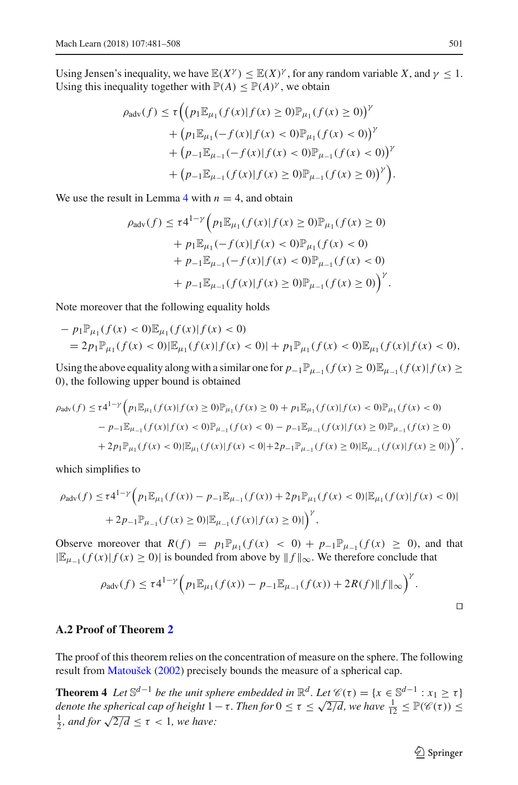Using Jensen's inequality, we have  $\mathbb{E}(X^{\gamma}) \leq \mathbb{E}(X)^{\gamma}$ , for any random variable *X*, and  $\gamma \leq 1$ . Using this inequality together with  $P(A) \leq P(A)^{\gamma}$ , we obtain

$$
\rho_{\text{adv}}(f) \le \tau \Big( \big( p_1 \mathbb{E}_{\mu_1}(f(x)|f(x) \ge 0) \mathbb{P}_{\mu_1}(f(x) \ge 0) \big)^{\gamma} + \big( p_1 \mathbb{E}_{\mu_1}(-f(x)|f(x) < 0) \mathbb{P}_{\mu_1}(f(x) < 0) \big)^{\gamma} + \big( p_{-1} \mathbb{E}_{\mu_{-1}}(-f(x)|f(x) < 0) \mathbb{P}_{\mu_{-1}}(f(x) < 0) \big)^{\gamma} + \big( p_{-1} \mathbb{E}_{\mu_{-1}}(f(x)|f(x) \ge 0) \mathbb{P}_{\mu_{-1}}(f(x) \ge 0) \big)^{\gamma} \Big).
$$

We use the result in Lemma [4](#page-19-0) with  $n = 4$ , and obtain

$$
\rho_{\text{adv}}(f) \le \tau 4^{1-\gamma} \Big( p_1 \mathbb{E}_{\mu_1}(f(x)) | f(x) \ge 0 \big) \mathbb{P}_{\mu_1}(f(x) \ge 0)
$$
  
+  $p_1 \mathbb{E}_{\mu_1}(-f(x)|f(x) < 0) \mathbb{P}_{\mu_1}(f(x) < 0)$   
+  $p_{-1} \mathbb{E}_{\mu_{-1}}(-f(x)|f(x) < 0) \mathbb{P}_{\mu_{-1}}(f(x) < 0)$   
+  $p_{-1} \mathbb{E}_{\mu_{-1}}(f(x)|f(x) \ge 0) \mathbb{P}_{\mu_{-1}}(f(x) \ge 0) \Big)^{\gamma}.$ 

Note moreover that the following equality holds

$$
- p_1 \mathbb{P}_{\mu_1}(f(x) < 0) \mathbb{E}_{\mu_1}(f(x)|f(x) < 0) \\
= 2 p_1 \mathbb{P}_{\mu_1}(f(x) < 0) \mathbb{E}_{\mu_1}(f(x)|f(x) < 0)| + p_1 \mathbb{P}_{\mu_1}(f(x) < 0) \mathbb{E}_{\mu_1}(f(x)|f(x) < 0),
$$

Using the above equality along with a similar one for  $p_{-1}\mathbb{P}_{\mu_{-1}}(f(x) \geq 0)\mathbb{E}_{\mu_{-1}}(f(x)|f(x) \geq$ 0), the following upper bound is obtained

$$
\rho_{\text{adv}}(f) \le \tau 4^{1-\gamma} \Big( p_1 \mathbb{E}_{\mu_1}(f(x)|f(x) \ge 0) \mathbb{P}_{\mu_1}(f(x) \ge 0) + p_1 \mathbb{E}_{\mu_1}(f(x)|f(x) < 0) \mathbb{P}_{\mu_1}(f(x) < 0) \\ - p_{-1} \mathbb{E}_{\mu_{-1}}(f(x)|f(x) < 0) \mathbb{P}_{\mu_{-1}}(f(x) < 0) - p_{-1} \mathbb{E}_{\mu_{-1}}(f(x)|f(x) \ge 0) \mathbb{P}_{\mu_{-1}}(f(x) \ge 0) \\ + 2p_1 \mathbb{P}_{\mu_1}(f(x) < 0) \big| \mathbb{E}_{\mu_1}(f(x)|f(x) < 0| + 2p_{-1} \mathbb{P}_{\mu_{-1}}(f(x) \ge 0) \big| \mathbb{E}_{\mu_{-1}}(f(x)|f(x) \ge 0|) \Big)^{\gamma},
$$

which simplifies to

$$
\rho_{\text{adv}}(f) \le \tau 4^{1-\gamma} \Big( p_1 \mathbb{E}_{\mu_1}(f(x)) - p_{-1} \mathbb{E}_{\mu_{-1}}(f(x)) + 2p_1 \mathbb{P}_{\mu_1}(f(x) < 0) |\mathbb{E}_{\mu_1}(f(x)|f(x) < 0)| + 2p_{-1} \mathbb{P}_{\mu_{-1}}(f(x) \ge 0) |\mathbb{E}_{\mu_{-1}}(f(x)|f(x) \ge 0)| \Big)^{\gamma},
$$

Observe moreover that  $R(f) = p_1 \mathbb{P}_{\mu_1}(f(x) < 0) + p_{-1} \mathbb{P}_{\mu_{-1}}(f(x) \ge 0)$ , and that  $|\mathbb{E}_{\mu_{-1}}(f(x)|f(x) \ge 0)|$  is bounded from above by  $||f||_{\infty}$ . We therefore conclude that

$$
\rho_{\text{adv}}(f) \le \tau 4^{1-\gamma} \Big( p_1 \mathbb{E}_{\mu_1}(f(x)) - p_{-1} \mathbb{E}_{\mu_{-1}}(f(x)) + 2R(f) \|f\|_{\infty} \Big)^{\gamma}.
$$

## **A.2 Proof of Theorem [2](#page-9-2)**

The proof of this theorem relies on the concentration of measure on the sphere. The following result from [Matoušek](#page-27-21) [\(2002](#page-27-21)) precisely bounds the measure of a spherical cap.

**Theorem 4** *Let*  $\mathbb{S}^{d-1}$  *be the unit sphere embedded in*  $\mathbb{R}^d$ *. Let*  $\mathcal{C}(\tau) = \{x \in \mathbb{S}^{d-1} : x_1 \geq \tau\}$ *denote the spherical cap of height*  $1 - \tau$ *. Then for*  $0 \le \tau \le \sqrt{2/d}$ *, we have*  $\frac{1}{12} \le \mathbb{P}(\mathscr{C}(\tau)) \le$  $\frac{1}{2}$ *, and for*  $\sqrt{2/d} \le \tau < 1$ *, we have:* 

<span id="page-20-0"></span> $\hat{\mathfrak{D}}$  Springer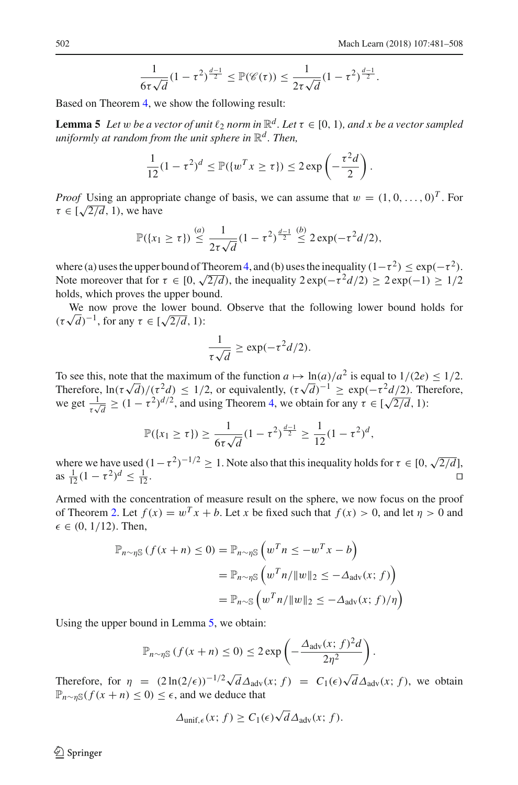<span id="page-21-0"></span>
$$
\frac{1}{6\tau\sqrt{d}}(1-\tau^2)^{\frac{d-1}{2}} \leq \mathbb{P}(\mathscr{C}(\tau)) \leq \frac{1}{2\tau\sqrt{d}}(1-\tau^2)^{\frac{d-1}{2}}.
$$

Based on Theorem [4,](#page-20-0) we show the following result:

**Lemma 5** Let w be a vector of unit  $\ell_2$  norm in  $\mathbb{R}^d$ . Let  $\tau \in [0, 1)$ , and x be a vector sampled *uniformly at random from the unit sphere in*  $\mathbb{R}^d$ *. Then,* 

$$
\frac{1}{12}(1-\tau^2)^d \leq \mathbb{P}(\{w^T x \geq \tau\}) \leq 2\exp\left(-\frac{\tau^2 d}{2}\right).
$$

*Proof* Using an appropriate change of basis, we can assume that  $w = (1, 0, \ldots, 0)^T$ . For  $\tau \in [\sqrt{2/d}, 1)$ , we have

$$
\mathbb{P}(\{x_1 \geq \tau\}) \stackrel{(a)}{\leq} \frac{1}{2\tau\sqrt{d}}(1-\tau^2)^{\frac{d-1}{2}} \stackrel{(b)}{\leq} 2\exp(-\tau^2d/2),
$$

where (a) uses the upper bound of Theorem [4,](#page-20-0) and (b) uses the inequality  $(1-\tau^2) \leq \exp(-\tau^2)$ . Note moreover that for  $\tau \in [0, \sqrt{2/d})$ , the inequality  $2 \exp(-\tau^2 d/2) \ge 2 \exp(-1) \ge 1/2$ holds, which proves the upper bound.

We now prove the lower bound. Observe that the following lower bound holds for  $(\tau\sqrt{d})^{-1}$ , for any  $\tau \in [\sqrt{2/d}, 1)$ :

$$
\frac{1}{\tau\sqrt{d}}\geq \exp(-\tau^2d/2).
$$

To see this, note that the maximum of the function  $a \mapsto \ln(a)/a^2$  is equal to  $1/(2e) \le 1/2$ . Therefore,  $\ln(\tau \sqrt{d})/(\tau^2 d) \leq 1/2$ , or equivalently,  $(\tau \sqrt{d})^{-1} \geq \exp(-\tau^2 d/2)$ . Therefore, we get  $\frac{1}{\tau \sqrt{d}} \ge (1 - \tau^2)^{d/2}$ , and using Theorem [4,](#page-20-0) we obtain for any  $\tau \in [\sqrt{2/d}, 1)$ :

$$
\mathbb{P}(\{x_1 \geq \tau\}) \geq \frac{1}{6\tau\sqrt{d}}(1-\tau^2)^{\frac{d-1}{2}} \geq \frac{1}{12}(1-\tau^2)^d,
$$

where we have used  $(1 - \tau^2)^{-1/2} \ge 1$ . Note also that this inequality holds for  $\tau \in [0, \sqrt{2/d}]$ , as  $\frac{1}{12}(1 - \tau^2)^d \leq \frac{1}{12}$  $\frac{1}{12}$ .

Armed with the concentration of measure result on the sphere, we now focus on the proof of Theorem [2.](#page-9-2) Let  $f(x) = w^T x + b$ . Let *x* be fixed such that  $f(x) > 0$ , and let  $\eta > 0$  and  $\epsilon \in (0, 1/12)$ . Then,

$$
\mathbb{P}_{n \sim \eta \mathbb{S}} (f(x+n) \le 0) = \mathbb{P}_{n \sim \eta \mathbb{S}} \left( w^T n \le -w^T x - b \right)
$$
  
= 
$$
\mathbb{P}_{n \sim \eta \mathbb{S}} \left( w^T n / \|w\|_2 \le -\Delta_{\text{adv}}(x; f) \right)
$$
  
= 
$$
\mathbb{P}_{n \sim \mathbb{S}} \left( w^T n / \|w\|_2 \le -\Delta_{\text{adv}}(x; f) / \eta \right)
$$

Using the upper bound in Lemma [5,](#page-21-0) we obtain:

$$
\mathbb{P}_{n\sim\eta\mathbb{S}}\left(f(x+n)\leq 0\right)\leq 2\exp\left(-\frac{\Delta_{\text{adv}}(x; f)^2d}{2\eta^2}\right).
$$

Therefore, for  $\eta = (2 \ln(2/\epsilon))^{-1/2} \sqrt{d} \Delta_{\text{adv}}(x; f) = C_1(\epsilon) \sqrt{d} \Delta_{\text{adv}}(x; f)$ , we obtain  $\mathbb{P}_{n \sim n\mathbb{S}}(f(x+n) \leq 0) \leq \epsilon$ , and we deduce that

$$
\Delta_{\text{unif},\epsilon}(x; f) \ge C_1(\epsilon)\sqrt{d}\Delta_{\text{adv}}(x; f).
$$

 $\circledcirc$  Springer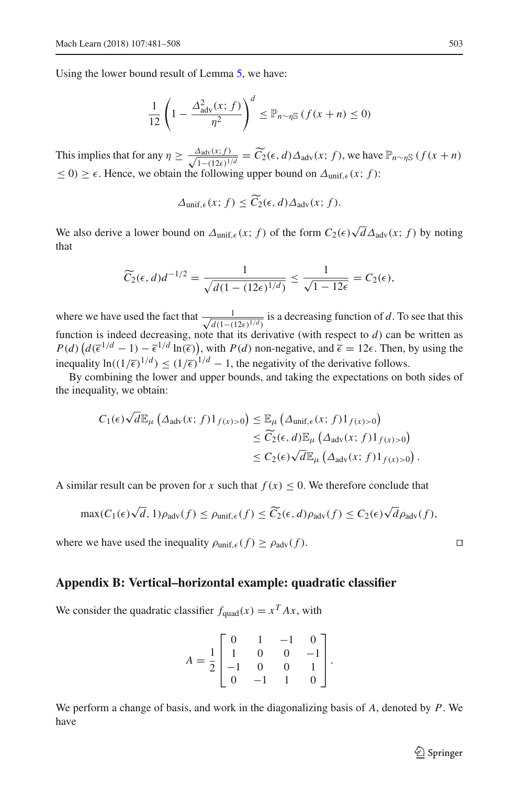Using the lower bound result of Lemma [5,](#page-21-0) we have:

$$
\frac{1}{12}\left(1-\frac{\Delta_{\text{adv}}^2(x; f)}{\eta^2}\right)^d \leq \mathbb{P}_{n \sim \eta \mathbb{S}}\left(f(x+n) \leq 0\right)
$$

This implies that for any  $\eta \ge \frac{\Delta_{\text{adv}}(x; f)}{\sqrt{1 - (12\epsilon)^{1/d}}} = \widetilde{C}_2(\epsilon, d) \Delta_{\text{adv}}(x; f)$ , we have  $\mathbb{P}_{n \sim \eta \mathbb{S}}(f(x + n))$  $\leq$  0)  $\geq$   $\epsilon$ . Hence, we obtain the following upper bound on  $\Delta_{\text{unif},\epsilon}(x; f)$ :

$$
\Delta_{\text{unif},\epsilon}(x; f) \leq C_2(\epsilon, d) \Delta_{\text{adv}}(x; f).
$$

We also derive a lower bound on  $\Delta_{\text{unif}, \epsilon}(x; f)$  of the form  $C_2(\epsilon) \sqrt{d} \Delta_{\text{adv}}(x; f)$  by noting that

$$
\widetilde{C}_2(\epsilon, d)d^{-1/2} = \frac{1}{\sqrt{d(1 - (12\epsilon)^{1/d})}} \le \frac{1}{\sqrt{1 - 12\epsilon}} = C_2(\epsilon),
$$

where we have used the fact that  $\frac{1}{\sqrt{d(1-t)}}$  $\frac{1}{d(1-(12\epsilon)^{1/d})}$  is a decreasing function of *d*. To see that this function is indeed decreasing, note that its derivative (with respect to  $d$ ) can be written as  $P(d)$   $\left(d(\overline{\epsilon}^{1/d} - 1) - \overline{\epsilon}^{1/d} \ln(\overline{\epsilon})\right)$ , with  $P(d)$  non-negative, and  $\overline{\epsilon} = 12\epsilon$ . Then, by using the inequality  $\ln((1/\overline{\epsilon})^{1/d}) \le (1/\overline{\epsilon})^{1/d} - 1$ , the negativity of the derivative follows.

By combining the lower and upper bounds, and taking the expectations on both sides of the inequality, we obtain:

$$
C_1(\epsilon)\sqrt{d}\mathbb{E}_{\mu}\left(\Delta_{\text{adv}}(x; f)1_{f(x)>0}\right) \leq \mathbb{E}_{\mu}\left(\Delta_{\text{unif},\epsilon}(x; f)1_{f(x)>0}\right)
$$
  

$$
\leq \widetilde{C}_2(\epsilon, d)\mathbb{E}_{\mu}\left(\Delta_{\text{adv}}(x; f)1_{f(x)>0}\right)
$$
  

$$
\leq C_2(\epsilon)\sqrt{d}\mathbb{E}_{\mu}\left(\Delta_{\text{adv}}(x; f)1_{f(x)>0}\right).
$$

A similar result can be proven for *x* such that  $f(x) < 0$ . We therefore conclude that

$$
\max(C_1(\epsilon)\sqrt{d}, 1)\rho_{\text{adv}}(f) \le \rho_{\text{unif},\epsilon}(f) \le \widetilde{C}_2(\epsilon,d)\rho_{\text{adv}}(f) \le C_2(\epsilon)\sqrt{d}\rho_{\text{adv}}(f),
$$

where we have used the inequality  $\rho_{\text{unif. }\epsilon}(f) \geq \rho_{\text{adv}}(f)$ .

#### **Appendix B: Vertical–horizontal example: quadratic classifier**

We consider the quadratic classifier  $f_{quad}(x) = x^T A x$ , with

$$
A = \frac{1}{2} \begin{bmatrix} 0 & 1 & -1 & 0 \\ 1 & 0 & 0 & -1 \\ -1 & 0 & 0 & 1 \\ 0 & -1 & 1 & 0 \end{bmatrix}.
$$

We perform a change of basis, and work in the diagonalizing basis of *A*, denoted by *P*. We have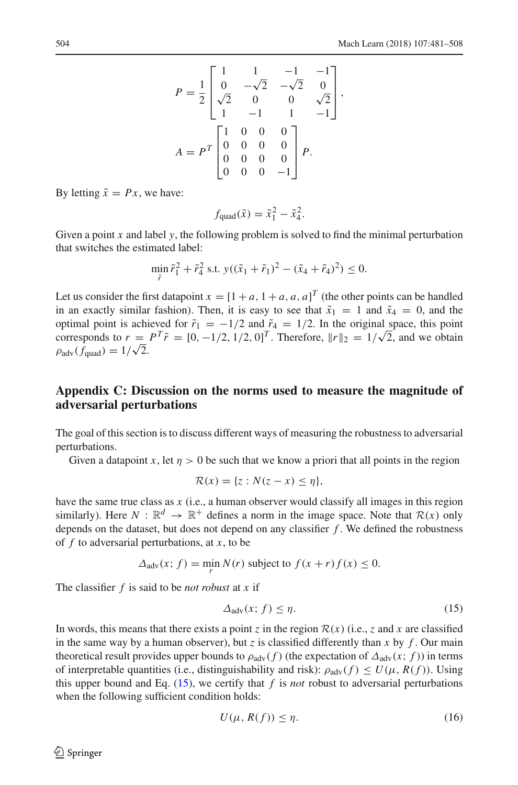$$
P = \frac{1}{2} \begin{bmatrix} 1 & 1 & -1 & -1 \\ 0 & -\sqrt{2} & -\sqrt{2} & 0 \\ \sqrt{2} & 0 & 0 & \sqrt{2} \\ 1 & -1 & 1 & -1 \end{bmatrix},
$$

$$
A = P^{T} \begin{bmatrix} 1 & 0 & 0 & 0 \\ 0 & 0 & 0 & 0 \\ 0 & 0 & 0 & 0 \\ 0 & 0 & 0 & -1 \end{bmatrix} P.
$$

By letting  $\tilde{x} = Px$ , we have:

$$
f_{\text{quad}}(\tilde{x}) = \tilde{x}_1^2 - \tilde{x}_4^2.
$$

Given a point *x* and label *y*, the following problem is solved to find the minimal perturbation that switches the estimated label:

$$
\min_{\tilde{r}} \tilde{r}_1^2 + \tilde{r}_4^2 \text{ s.t. } y((\tilde{x}_1 + \tilde{r}_1)^2 - (\tilde{x}_4 + \tilde{r}_4)^2) \le 0.
$$

Let us consider the first datapoint  $x = [1 + a, 1 + a, a, a]^T$  (the other points can be handled in an exactly similar fashion). Then, it is easy to see that  $\tilde{x}_1 = 1$  and  $\tilde{x}_4 = 0$ , and the optimal point is achieved for  $\tilde{r}_1 = -1/2$  and  $\tilde{r}_4 = 1/2$ . In the original space, this point corresponds to  $r = P^T \tilde{r} = [0, -1/2, 1/2, 0]^T$ . Therefore,  $||r||_2 = 1/\sqrt{2}$ , and we obtain  $\rho_{\text{adv}}(f_{\text{quad}}) = 1/\sqrt{2}.$ 

## **Appendix C: Discussion on the norms used to measure the magnitude of adversarial perturbations**

The goal of this section is to discuss different ways of measuring the robustness to adversarial perturbations.

Given a datapoint x, let  $\eta > 0$  be such that we know a priori that all points in the region

$$
\mathcal{R}(x) = \{z : N(z - x) \le \eta\},\
$$

have the same true class as *x* (i.e., a human observer would classify all images in this region similarly). Here  $N : \mathbb{R}^d \to \mathbb{R}^+$  defines a norm in the image space. Note that  $\mathcal{R}(x)$  only depends on the dataset, but does not depend on any classifier *f* . We defined the robustness of *f* to adversarial perturbations, at *x*, to be

$$
\Delta_{\text{adv}}(x; f) = \min_{r} N(r) \text{ subject to } f(x+r)f(x) \le 0.
$$

The classifier *f* is said to be *not robust* at *x* if

<span id="page-23-0"></span>
$$
\Delta_{\text{adv}}(x; f) \le \eta. \tag{15}
$$

In words, this means that there exists a point *z* in the region  $\mathcal{R}(x)$  (i.e., *z* and *x* are classified in the same way by a human observer), but *z* is classified differently than *x* by  $f$ . Our main theoretical result provides upper bounds to  $\rho_{\text{adv}}(f)$  (the expectation of  $\Delta_{\text{adv}}(x; f)$ ) in terms of interpretable quantities (i.e., distinguishability and risk):  $\rho_{\text{adv}}(f) \le U(\mu, R(f))$ . Using this upper bound and Eq.  $(15)$ , we certify that  $f$  is *not* robust to adversarial perturbations when the following sufficient condition holds:

$$
U(\mu, R(f)) \le \eta. \tag{16}
$$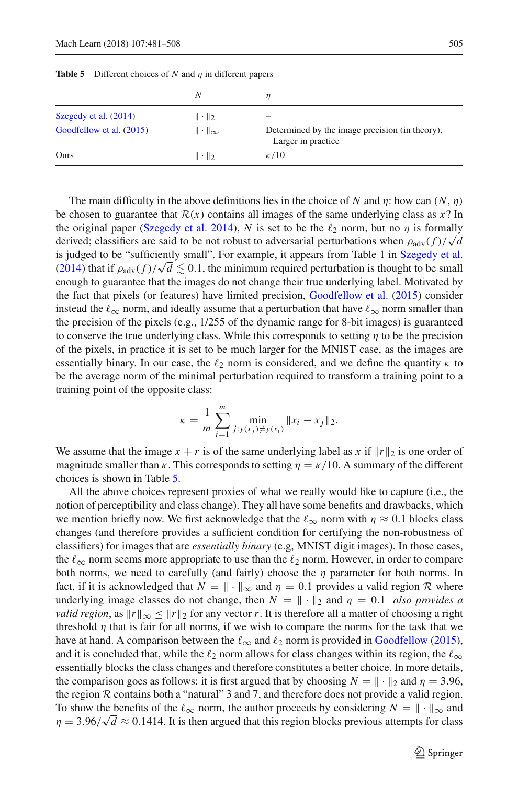<span id="page-24-0"></span>

|                          | Ν                    |                                                                      |
|--------------------------|----------------------|----------------------------------------------------------------------|
| Szegedy et al. (2014)    | $\ \cdot\ _2$        |                                                                      |
| Goodfellow et al. (2015) | $\ \cdot\ _{\infty}$ | Determined by the image precision (in theory).<br>Larger in practice |
| Ours                     | $\ \cdot\ _2$        | $\kappa/10$                                                          |

**Table 5** Different choices of *N* and η in different papers

The main difficulty in the above definitions lies in the choice of *N* and  $\eta$ : how can  $(N, \eta)$ be chosen to guarantee that  $\mathcal{R}(x)$  contains all images of the same underlying class as  $x$ ? In the original paper [\(Szegedy et al. 2014\)](#page-27-0), *N* is set to be the  $\ell_2$  norm, but no  $\eta$  is formally derived; classifiers are said to be not robust to adversarial perturbations when  $\rho_{\text{adv}}(f)/\sqrt{d}$ is judged to be "sufficiently small". For example, it appears from Table 1 in [Szegedy et al.](#page-27-0) [\(2014](#page-27-0)) that if  $\rho_{\text{adv}}(f)/\sqrt{d} \lesssim 0.1$ , the minimum required perturbation is thought to be small enough to guarantee that the images do not change their true underlying label. Motivated by the fact that pixels (or features) have limited precision, [Goodfellow et al.](#page-27-3) [\(2015\)](#page-27-3) consider instead the  $\ell_{\infty}$  norm, and ideally assume that a perturbation that have  $\ell_{\infty}$  norm smaller than the precision of the pixels (e.g., 1/255 of the dynamic range for 8-bit images) is guaranteed to conserve the true underlying class. While this corresponds to setting  $\eta$  to be the precision of the pixels, in practice it is set to be much larger for the MNIST case, as the images are essentially binary. In our case, the  $\ell_2$  norm is considered, and we define the quantity  $\kappa$  to be the average norm of the minimal perturbation required to transform a training point to a training point of the opposite class:

$$
\kappa = \frac{1}{m} \sum_{i=1}^{m} \min_{j: y(x_j) \neq y(x_i)} \|x_i - x_j\|_2.
$$

We assume that the image  $x + r$  is of the same underlying label as x if  $||r||_2$  is one order of magnitude smaller than  $\kappa$ . This corresponds to setting  $\eta = \kappa/10$ . A summary of the different choices is shown in Table [5.](#page-24-0)

All the above choices represent proxies of what we really would like to capture (i.e., the notion of perceptibility and class change). They all have some benefits and drawbacks, which we mention briefly now. We first acknowledge that the  $\ell_{\infty}$  norm with  $\eta \approx 0.1$  blocks class changes (and therefore provides a sufficient condition for certifying the non-robustness of classifiers) for images that are *essentially binary* (e.g, MNIST digit images). In those cases, the  $\ell_{\infty}$  norm seems more appropriate to use than the  $\ell_2$  norm. However, in order to compare both norms, we need to carefully (and fairly) choose the  $\eta$  parameter for both norms. In fact, if it is acknowledged that  $N = \|\cdot\|_{\infty}$  and  $\eta = 0.1$  provides a valid region  $R$  where underlying image classes do not change, then  $N = || \cdot ||_2$  and  $\eta = 0.1$  *also provides a valid region*, as  $||r||_{\infty} \le ||r||_2$  for any vector *r*. It is therefore all a matter of choosing a right threshold  $\eta$  that is fair for all norms, if we wish to compare the norms for the task that we have at hand. A comparison between the  $\ell_{\infty}$  and  $\ell_2$  norm is provided in [Goodfellow](#page-27-22) [\(2015\)](#page-27-22), and it is concluded that, while the  $\ell_2$  norm allows for class changes within its region, the  $\ell_\infty$ essentially blocks the class changes and therefore constitutes a better choice. In more details, the comparison goes as follows: it is first argued that by choosing  $N = \|\cdot\|_2$  and  $\eta = 3.96$ , the region *R* contains both a "natural" 3 and 7, and therefore does not provide a valid region. To show the benefits of the  $\ell_{\infty}$  norm, the author proceeds by considering  $N = \|\cdot\|_{\infty}$  and  $\eta = 3.96/\sqrt{d} \approx 0.1414$ . It is then argued that this region blocks previous attempts for class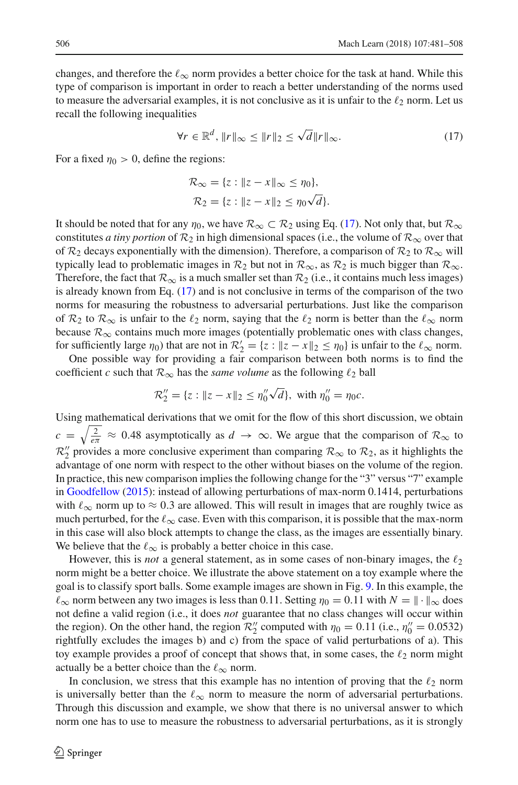changes, and therefore the  $\ell_{\infty}$  norm provides a better choice for the task at hand. While this type of comparison is important in order to reach a better understanding of the norms used to measure the adversarial examples, it is not conclusive as it is unfair to the  $\ell_2$  norm. Let us recall the following inequalities

$$
\forall r \in \mathbb{R}^d, \|r\|_{\infty} \le \|r\|_2 \le \sqrt{d} \|r\|_{\infty}.
$$
 (17)

For a fixed  $\eta_0 > 0$ , define the regions:

<span id="page-25-0"></span>
$$
\mathcal{R}_{\infty} = \{z : ||z - x||_{\infty} \le \eta_0\},
$$
  

$$
\mathcal{R}_2 = \{z : ||z - x||_2 \le \eta_0\sqrt{d}\}.
$$

It should be noted that for any  $\eta_0$ , we have  $\mathcal{R}_{\infty} \subset \mathcal{R}_2$  using Eq. [\(17\)](#page-25-0). Not only that, but  $\mathcal{R}_{\infty}$ constitutes *a tiny portion* of  $\mathcal{R}_2$  in high dimensional spaces (i.e., the volume of  $\mathcal{R}_{\infty}$  over that of  $\mathcal{R}_2$  decays exponentially with the dimension). Therefore, a comparison of  $\mathcal{R}_2$  to  $\mathcal{R}_{\infty}$  will typically lead to problematic images in  $\mathcal{R}_2$  but not in  $\mathcal{R}_{\infty}$ , as  $\mathcal{R}_2$  is much bigger than  $\mathcal{R}_{\infty}$ . Therefore, the fact that  $\mathcal{R}_{\infty}$  is a much smaller set than  $\mathcal{R}_2$  (i.e., it contains much less images) is already known from Eq. [\(17\)](#page-25-0) and is not conclusive in terms of the comparison of the two norms for measuring the robustness to adversarial perturbations. Just like the comparison of  $\mathcal{R}_2$  to  $\mathcal{R}_{\infty}$  is unfair to the  $\ell_2$  norm, saying that the  $\ell_2$  norm is better than the  $\ell_{\infty}$  norm because  $\mathcal{R}_{\infty}$  contains much more images (potentially problematic ones with class changes, for sufficiently large  $\eta_0$ ) that are not in  $\mathcal{R}'_2 = \{z : ||z - x||_2 \le \eta_0\}$  is unfair to the  $\ell_{\infty}$  norm.

One possible way for providing a fair comparison between both norms is to find the coefficient *c* such that  $\mathcal{R}_{\infty}$  has the *same volume* as the following  $\ell_2$  ball

$$
\mathcal{R}_2'' = \{ z : \| z - x \|_2 \le \eta_0'' \sqrt{d} \}, \text{ with } \eta_0'' = \eta_0 c.
$$

Using mathematical derivations that we omit for the flow of this short discussion, we obtain  $c = \sqrt{\frac{2}{e\pi}} \approx 0.48$  asymptotically as  $d \to \infty$ . We argue that the comparison of  $\mathcal{R}_{\infty}$  to  $\mathcal{R}_2''$  provides a more conclusive experiment than comparing  $\mathcal{R}_{\infty}$  to  $\mathcal{R}_2$ , as it highlights the advantage of one norm with respect to the other without biases on the volume of the region. In practice, this new comparison implies the following change for the "3" versus "7" example in [Goodfellow](#page-27-22) [\(2015](#page-27-22)): instead of allowing perturbations of max-norm 0.1414, perturbations with  $\ell_{\infty}$  norm up to  $\approx 0.3$  are allowed. This will result in images that are roughly twice as much perturbed, for the  $\ell_{\infty}$  case. Even with this comparison, it is possible that the max-norm in this case will also block attempts to change the class, as the images are essentially binary. We believe that the  $\ell_{\infty}$  is probably a better choice in this case.

However, this is *not* a general statement, as in some cases of non-binary images, the  $\ell_2$ norm might be a better choice. We illustrate the above statement on a toy example where the goal is to classify sport balls. Some example images are shown in Fig. [9.](#page-26-15) In this example, the  $\ell_{\infty}$  norm between any two images is less than 0.11. Setting  $\eta_0 = 0.11$  with  $N = \|\cdot\|_{\infty}$  does not define a valid region (i.e., it does *not* guarantee that no class changes will occur within the region). On the other hand, the region  $\mathcal{R}_2''$  computed with  $\eta_0 = 0.11$  (i.e.,  $\eta_0'' = 0.0532$ ) rightfully excludes the images b) and c) from the space of valid perturbations of a). This toy example provides a proof of concept that shows that, in some cases, the  $\ell_2$  norm might actually be a better choice than the  $\ell_{\infty}$  norm.

In conclusion, we stress that this example has no intention of proving that the  $\ell_2$  norm is universally better than the  $\ell_{\infty}$  norm to measure the norm of adversarial perturbations. Through this discussion and example, we show that there is no universal answer to which norm one has to use to measure the robustness to adversarial perturbations, as it is strongly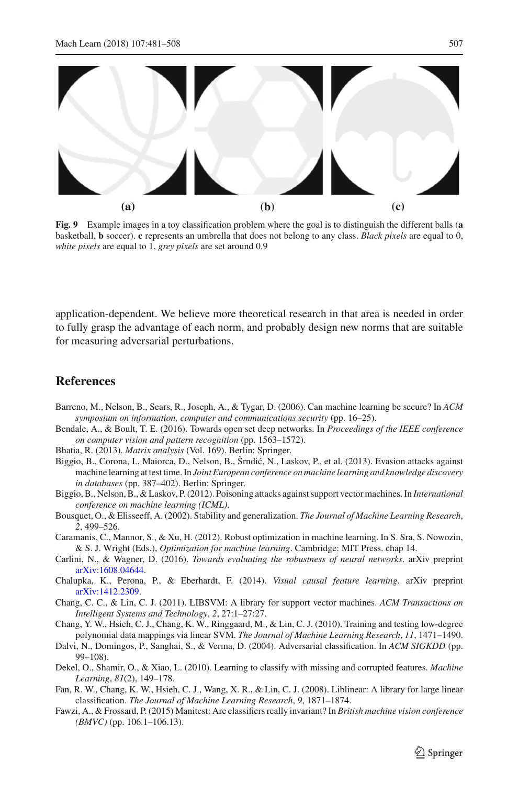

<span id="page-26-15"></span>**Fig. 9** Example images in a toy classification problem where the goal is to distinguish the different balls (**a** basketball, **b** soccer). **c** represents an umbrella that does not belong to any class. *Black pixels* are equal to 0, *white pixels* are equal to 1, *grey pixels* are set around 0.9

application-dependent. We believe more theoretical research in that area is needed in order to fully grasp the advantage of each norm, and probably design new norms that are suitable for measuring adversarial perturbations.

## **References**

- <span id="page-26-4"></span>Barreno, M., Nelson, B., Sears, R., Joseph, A., & Tygar, D. (2006). Can machine learning be secure? In *ACM symposium on information, computer and communications security* (pp. 16–25).
- <span id="page-26-1"></span>Bendale, A., & Boult, T. E. (2016). Towards open set deep networks. In *Proceedings of the IEEE conference on computer vision and pattern recognition* (pp. 1563–1572).
- <span id="page-26-11"></span>Bhatia, R. (2013). *Matrix analysis* (Vol. 169). Berlin: Springer.
- <span id="page-26-7"></span>Biggio, B., Corona, I., Maiorca, D., Nelson, B., Šrndić, N., Laskov, P., et al. (2013). Evasion attacks against machine learning at test time. In *Joint European conference on machine learning and knowledge discovery in databases* (pp. 387–402). Berlin: Springer.
- <span id="page-26-3"></span>Biggio, B., Nelson, B., & Laskov, P. (2012). Poisoning attacks against support vector machines. In *International conference on machine learning (ICML)*.
- <span id="page-26-6"></span>Bousquet, O., & Elisseeff, A. (2002). Stability and generalization. *The Journal of Machine Learning Research*, *2*, 499–526.
- <span id="page-26-9"></span>Caramanis, C., Mannor, S., & Xu, H. (2012). Robust optimization in machine learning. In S. Sra, S. Nowozin, & S. J. Wright (Eds.), *Optimization for machine learning*. Cambridge: MIT Press. chap 14.
- <span id="page-26-2"></span>Carlini, N., & Wagner, D. (2016). *Towards evaluating the robustness of neural networks*. arXiv preprint [arXiv:1608.04644.](http://arxiv.org/abs/1608.04644)
- <span id="page-26-0"></span>Chalupka, K., Perona, P., & Eberhardt, F. (2014). *Visual causal feature learning*. arXiv preprint [arXiv:1412.2309.](http://arxiv.org/abs/1412.2309)
- <span id="page-26-13"></span>Chang, C. C., & Lin, C. J. (2011). LIBSVM: A library for support vector machines. *ACM Transactions on Intelligent Systems and Technology*, *2*, 27:1–27:27.
- <span id="page-26-10"></span>Chang, Y. W., Hsieh, C. J., Chang, K. W., Ringgaard, M., & Lin, C. J. (2010). Training and testing low-degree polynomial data mappings via linear SVM. *The Journal of Machine Learning Research*, *11*, 1471–1490.
- <span id="page-26-5"></span>Dalvi, N., Domingos, P., Sanghai, S., & Verma, D. (2004). Adversarial classification. In *ACM SIGKDD* (pp. 99–108).
- <span id="page-26-8"></span>Dekel, O., Shamir, O., & Xiao, L. (2010). Learning to classify with missing and corrupted features. *Machine Learning*, *81*(2), 149–178.
- <span id="page-26-12"></span>Fan, R. W., Chang, K. W., Hsieh, C. J., Wang, X. R., & Lin, C. J. (2008). Liblinear: A library for large linear classification. *The Journal of Machine Learning Research*, *9*, 1871–1874.
- <span id="page-26-14"></span>Fawzi, A., & Frossard, P. (2015) Manitest: Are classifiers really invariant? In *British machine vision conference (BMVC)* (pp. 106.1–106.13).